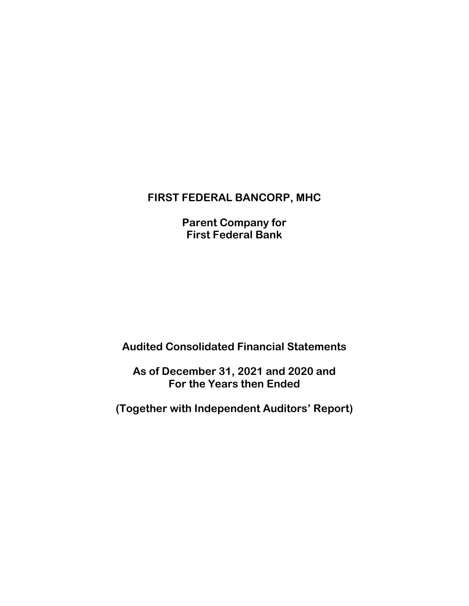# **FIRST FEDERAL BANCORP, MHC**

**Parent Company for First Federal Bank**

# **Audited Consolidated Financial Statements**

**As of December 31, 2021 and 2020 and For the Years then Ended**

**(Together with Independent Auditors' Report)**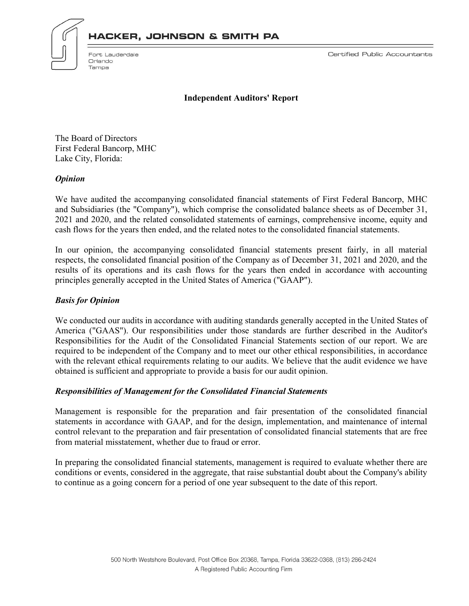



Fort Lauderdale Orlando Tampa

Certified Public Accountants

**Independent Auditors' Report**

The Board of Directors First Federal Bancorp, MHC Lake City, Florida:

#### *Opinion*

We have audited the accompanying consolidated financial statements of First Federal Bancorp, MHC and Subsidiaries (the "Company"), which comprise the consolidated balance sheets as of December 31, 2021 and 2020, and the related consolidated statements of earnings, comprehensive income, equity and cash flows for the years then ended, and the related notes to the consolidated financial statements.

In our opinion, the accompanying consolidated financial statements present fairly, in all material respects, the consolidated financial position of the Company as of December 31, 2021 and 2020, and the results of its operations and its cash flows for the years then ended in accordance with accounting principles generally accepted in the United States of America ("GAAP").

#### *Basis for Opinion*

We conducted our audits in accordance with auditing standards generally accepted in the United States of America ("GAAS"). Our responsibilities under those standards are further described in the Auditor's Responsibilities for the Audit of the Consolidated Financial Statements section of our report. We are required to be independent of the Company and to meet our other ethical responsibilities, in accordance with the relevant ethical requirements relating to our audits. We believe that the audit evidence we have obtained is sufficient and appropriate to provide a basis for our audit opinion.

#### *Responsibilities of Management for the Consolidated Financial Statements*

Management is responsible for the preparation and fair presentation of the consolidated financial statements in accordance with GAAP, and for the design, implementation, and maintenance of internal control relevant to the preparation and fair presentation of consolidated financial statements that are free from material misstatement, whether due to fraud or error.

In preparing the consolidated financial statements, management is required to evaluate whether there are conditions or events, considered in the aggregate, that raise substantial doubt about the Company's ability to continue as a going concern for a period of one year subsequent to the date of this report.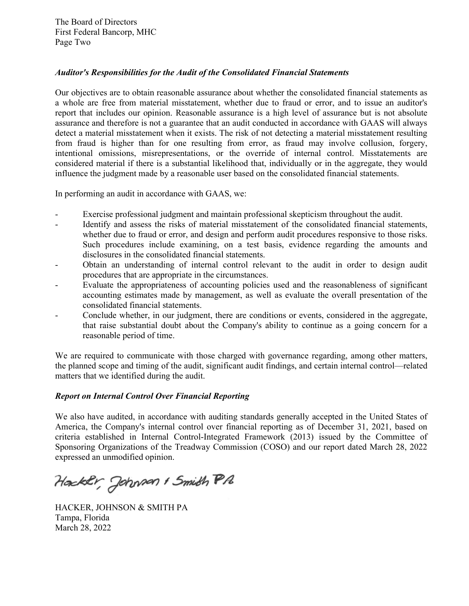# *Auditor's Responsibilities for the Audit of the Consolidated Financial Statements*

Our objectives are to obtain reasonable assurance about whether the consolidated financial statements as a whole are free from material misstatement, whether due to fraud or error, and to issue an auditor's report that includes our opinion. Reasonable assurance is a high level of assurance but is not absolute assurance and therefore is not a guarantee that an audit conducted in accordance with GAAS will always detect a material misstatement when it exists. The risk of not detecting a material misstatement resulting from fraud is higher than for one resulting from error, as fraud may involve collusion, forgery, intentional omissions, misrepresentations, or the override of internal control. Misstatements are considered material if there is a substantial likelihood that, individually or in the aggregate, they would influence the judgment made by a reasonable user based on the consolidated financial statements.

In performing an audit in accordance with GAAS, we:

- Exercise professional judgment and maintain professional skepticism throughout the audit.
- Identify and assess the risks of material misstatement of the consolidated financial statements, whether due to fraud or error, and design and perform audit procedures responsive to those risks. Such procedures include examining, on a test basis, evidence regarding the amounts and disclosures in the consolidated financial statements.
- Obtain an understanding of internal control relevant to the audit in order to design audit procedures that are appropriate in the circumstances.
- Evaluate the appropriateness of accounting policies used and the reasonableness of significant accounting estimates made by management, as well as evaluate the overall presentation of the consolidated financial statements.
- Conclude whether, in our judgment, there are conditions or events, considered in the aggregate, that raise substantial doubt about the Company's ability to continue as a going concern for a reasonable period of time.

We are required to communicate with those charged with governance regarding, among other matters, the planned scope and timing of the audit, significant audit findings, and certain internal control—related matters that we identified during the audit.

# *Report on Internal Control Over Financial Reporting*

We also have audited, in accordance with auditing standards generally accepted in the United States of America, the Company's internal control over financial reporting as of December 31, 2021, based on criteria established in Internal Control-Integrated Framework (2013) issued by the Committee of Sponsoring Organizations of the Treadway Commission (COSO) and our report dated March 28, 2022 expressed an unmodified opinion.

Hackly, Johnson & Smith PA

HACKER, JOHNSON & SMITH PA Tampa, Florida March 28, 2022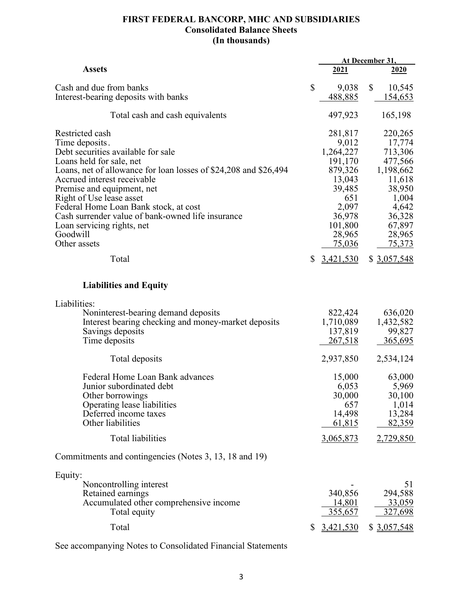# **FIRST FEDERAL BANCORP, MHC AND SUBSIDIARIES Consolidated Balance Sheets (In thousands)**

|                                                                                                                                                                                                                                                                                                                                                                                                                                   |              | At December 31,                                                                                                                               |              |                                                                                                                                                   |
|-----------------------------------------------------------------------------------------------------------------------------------------------------------------------------------------------------------------------------------------------------------------------------------------------------------------------------------------------------------------------------------------------------------------------------------|--------------|-----------------------------------------------------------------------------------------------------------------------------------------------|--------------|---------------------------------------------------------------------------------------------------------------------------------------------------|
| <b>Assets</b>                                                                                                                                                                                                                                                                                                                                                                                                                     |              | 2021                                                                                                                                          |              | 2020                                                                                                                                              |
| Cash and due from banks<br>Interest-bearing deposits with banks                                                                                                                                                                                                                                                                                                                                                                   | $\mathbb{S}$ | 9,038<br>488,885                                                                                                                              | $\mathbb{S}$ | 10,545<br>154,653                                                                                                                                 |
| Total cash and cash equivalents                                                                                                                                                                                                                                                                                                                                                                                                   |              | 497,923                                                                                                                                       |              | 165,198                                                                                                                                           |
| Restricted cash<br>Time deposits.<br>Debt securities available for sale<br>Loans held for sale, net<br>Loans, net of allowance for loan losses of \$24,208 and \$26,494<br>Accrued interest receivable<br>Premise and equipment, net<br>Right of Use lease asset<br>Federal Home Loan Bank stock, at cost<br>Cash surrender value of bank-owned life insurance<br>Loan servicing rights, net<br>Goodwill<br>Other assets<br>Total | \$           | 281,817<br>9,012<br>1,264,227<br>191,170<br>879,326<br>13,043<br>39,485<br>651<br>2,097<br>36,978<br>101,800<br>28,965<br>75,036<br>3,421,530 |              | 220,265<br>17,774<br>713,306<br>477,566<br>1,198,662<br>11,618<br>38,950<br>1,004<br>4,642<br>36,328<br>67,897<br>28,965<br>75,373<br>\$3,057,548 |
| <b>Liabilities and Equity</b>                                                                                                                                                                                                                                                                                                                                                                                                     |              |                                                                                                                                               |              |                                                                                                                                                   |
| Liabilities:<br>Noninterest-bearing demand deposits<br>Interest bearing checking and money-market deposits<br>Savings deposits<br>Time deposits                                                                                                                                                                                                                                                                                   |              | 822,424<br>1,710,089<br>137,819<br><u>267,518</u>                                                                                             |              | 636,020<br>1,432,582<br>99,827<br>365,695                                                                                                         |
| Total deposits                                                                                                                                                                                                                                                                                                                                                                                                                    |              | 2,937,850                                                                                                                                     |              | 2,534,124                                                                                                                                         |
| Federal Home Loan Bank advances<br>Junior subordinated debt<br>Other borrowings<br>Operating lease liabilities<br>Deferred income taxes<br>Other liabilities<br>Total liabilities                                                                                                                                                                                                                                                 |              | 15,000<br>6,053<br>30,000<br>657<br>14,498<br>61,815<br>3,065,873                                                                             |              | 63,000<br>5,969<br>30,100<br>1,014<br>13,284<br>82,359<br>2,729,850                                                                               |
|                                                                                                                                                                                                                                                                                                                                                                                                                                   |              |                                                                                                                                               |              |                                                                                                                                                   |
| Commitments and contingencies (Notes 3, 13, 18 and 19)                                                                                                                                                                                                                                                                                                                                                                            |              |                                                                                                                                               |              |                                                                                                                                                   |
| Equity:<br>Noncontrolling interest<br>Retained earnings<br>Accumulated other comprehensive income<br>Total equity                                                                                                                                                                                                                                                                                                                 |              | 340,856<br>14,801<br>355,657                                                                                                                  |              | 51<br>294,588<br>33,059<br>327,698                                                                                                                |
| Total                                                                                                                                                                                                                                                                                                                                                                                                                             | \$           | 3,421,530                                                                                                                                     |              | \$3,057,548                                                                                                                                       |

See accompanying Notes to Consolidated Financial Statements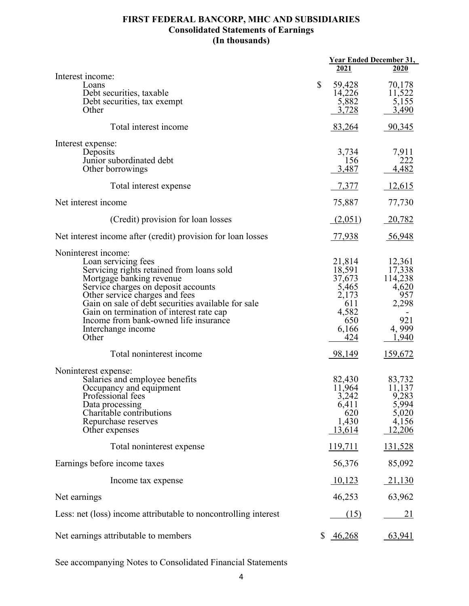# **FIRST FEDERAL BANCORP, MHC AND SUBSIDIARIES Consolidated Statements of Earnings (In thousands)**

|                                                                                      |                 | <u>Year Ended December 31,</u> |
|--------------------------------------------------------------------------------------|-----------------|--------------------------------|
|                                                                                      | 2021            | 2020                           |
| Interest income:<br>Loans                                                            | \$<br>59,428    | 70,178                         |
| Debt securities, taxable<br>Debt securities, tax exempt                              | 14,226<br>5,882 | 11,522<br>5,155                |
| Other                                                                                | 3,728           | 3,490                          |
|                                                                                      |                 |                                |
| Total interest income                                                                | 83,264          | 90,345                         |
| Interest expense:                                                                    |                 |                                |
| Deposits<br>Junior subordinated debt                                                 | 3,734<br>156    | 7,911<br>222                   |
| Other borrowings                                                                     | 3,487           | 4,482                          |
|                                                                                      |                 |                                |
| Total interest expense                                                               | 7,377           | 12,615                         |
| Net interest income                                                                  | 75,887          | 77,730                         |
| (Credit) provision for loan losses                                                   | (2,051)         | 20,782                         |
| Net interest income after (credit) provision for loan losses                         | <u>77,938</u>   | 56,948                         |
| Noninterest income:                                                                  |                 |                                |
| Loan servicing fees                                                                  | 21,814          | 12,361                         |
| Servicing rights retained from loans sold                                            | 18,591          | 17,338                         |
| Mortgage banking revenue                                                             | 37,673          | 114,238                        |
| Service charges on deposit accounts                                                  | 5,465           | 4,620                          |
| Other service charges and fees<br>Gain on sale of debt securities available for sale | 2,173<br>611    | 957<br>2,298                   |
| Gain on termination of interest rate cap                                             | 4,582           |                                |
| Income from bank-owned life insurance                                                | 650             | 921                            |
| Interchange income                                                                   | 6,166           | 4,999                          |
| Other                                                                                | 424             | 1,940                          |
| Total noninterest income                                                             | 98,149          | 159,672                        |
| Noninterest expense:                                                                 |                 |                                |
| Salaries and employee benefits                                                       | 82,430          | 83,732                         |
| Occupancy and equipment                                                              | 11,964          | 11,137                         |
| Professional fees                                                                    | 3,242           | 9,283                          |
| Data processing<br>Charitable contributions                                          | 6,411<br>620    | 5,994<br>5,020                 |
| Repurchase reserves                                                                  | 1,430           | 4,156                          |
| Other expenses                                                                       | 13,614          | 12,206                         |
|                                                                                      |                 |                                |
| Total noninterest expense                                                            | 119,711         | 131,528                        |
| Earnings before income taxes                                                         | 56,376          | 85,092                         |
| Income tax expense                                                                   | 10,123          | 21,130                         |
| Net earnings                                                                         | 46,253          | 63,962                         |
| Less: net (loss) income attributable to noncontrolling interest                      | (15)            | <u>21</u>                      |
| Net earnings attributable to members                                                 | \$<br>46,268    | 63,941                         |

See accompanying Notes to Consolidated Financial Statements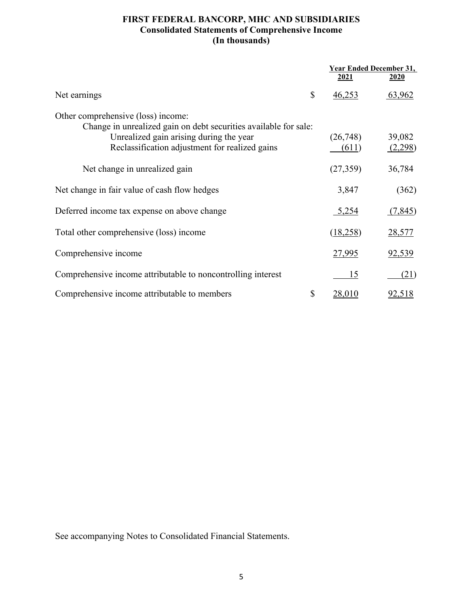# **FIRST FEDERAL BANCORP, MHC AND SUBSIDIARIES Consolidated Statements of Comprehensive Income (In thousands)**

|                                                                                                        | <b>Year Ended December 31,</b> |                   |
|--------------------------------------------------------------------------------------------------------|--------------------------------|-------------------|
|                                                                                                        | 2021                           | <u>2020</u>       |
| \$<br>Net earnings                                                                                     | 46,253                         | 63,962            |
| Other comprehensive (loss) income:<br>Change in unrealized gain on debt securities available for sale: |                                |                   |
| Unrealized gain arising during the year<br>Reclassification adjustment for realized gains              | (26,748)<br>(611)              | 39,082<br>(2,298) |
| Net change in unrealized gain                                                                          | (27,359)                       | 36,784            |
| Net change in fair value of cash flow hedges                                                           | 3,847                          | (362)             |
| Deferred income tax expense on above change                                                            | 5,254                          | (7,845)           |
| Total other comprehensive (loss) income                                                                | (18,258)                       | <u>28,577</u>     |
| Comprehensive income                                                                                   | 27,995                         | <u>92,539</u>     |
| Comprehensive income attributable to noncontrolling interest                                           | <u>15</u>                      | (21)              |
| \$<br>Comprehensive income attributable to members                                                     | <u>28,010</u>                  | <u>92,518</u>     |

See accompanying Notes to Consolidated Financial Statements.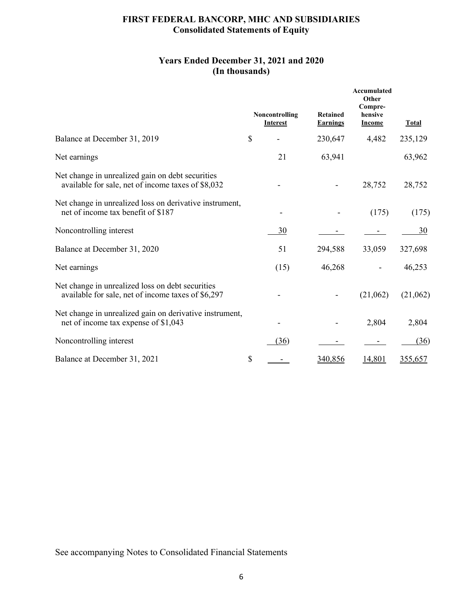# **FIRST FEDERAL BANCORP, MHC AND SUBSIDIARIES Consolidated Statements of Equity**

# **Years Ended December 31, 2021 and 2020 (In thousands)**

|                                                                                                        |               | Noncontrolling<br><b>Interest</b> | <b>Retained</b><br><b>Earnings</b> | Accumulated<br>Other<br>Compre-<br>hensive<br><b>Income</b> | <b>Total</b> |
|--------------------------------------------------------------------------------------------------------|---------------|-----------------------------------|------------------------------------|-------------------------------------------------------------|--------------|
| Balance at December 31, 2019                                                                           | $\mathcal{S}$ |                                   | 230,647                            | 4,482                                                       | 235,129      |
| Net earnings                                                                                           |               | 21                                | 63,941                             |                                                             | 63,962       |
| Net change in unrealized gain on debt securities<br>available for sale, net of income taxes of \$8,032 |               |                                   |                                    | 28,752                                                      | 28,752       |
| Net change in unrealized loss on derivative instrument,<br>net of income tax benefit of \$187          |               |                                   |                                    | (175)                                                       | (175)        |
| Noncontrolling interest                                                                                |               | 30                                |                                    |                                                             | 30           |
| Balance at December 31, 2020                                                                           |               | 51                                | 294,588                            | 33,059                                                      | 327,698      |
| Net earnings                                                                                           |               | (15)                              | 46,268                             |                                                             | 46,253       |
| Net change in unrealized loss on debt securities<br>available for sale, net of income taxes of \$6,297 |               |                                   |                                    | (21,062)                                                    | (21,062)     |
| Net change in unrealized gain on derivative instrument,<br>net of income tax expense of \$1,043        |               |                                   |                                    | 2,804                                                       | 2,804        |
| Noncontrolling interest                                                                                |               | (36)                              |                                    |                                                             | (36)         |
| Balance at December 31, 2021                                                                           | \$            |                                   | 340,856                            | 14,801                                                      | 355,657      |

See accompanying Notes to Consolidated Financial Statements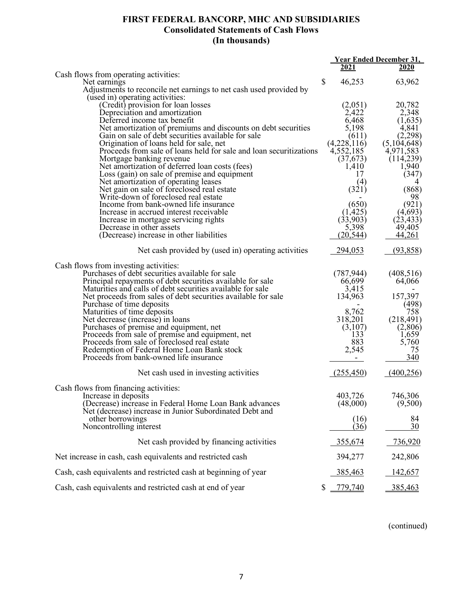# **FIRST FEDERAL BANCORP, MHC AND SUBSIDIARIES Consolidated Statements of Cash Flows (In thousands)**

|                                                                                      |               | <b>Year Ended December 31,</b> |
|--------------------------------------------------------------------------------------|---------------|--------------------------------|
|                                                                                      | 2021          | <b>2020</b>                    |
| Cash flows from operating activities:                                                | \$<br>46,253  |                                |
| Net earnings<br>Adjustments to reconcile net earnings to net cash used provided by   |               | 63,962                         |
| (used in) operating activities:                                                      |               |                                |
| (Credit) provision for loan losses                                                   | (2,051)       | 20,782                         |
| Depreciation and amortization                                                        | 2,422         | 2,348                          |
| Deferred income tax benefit                                                          | 6,468         | (1,635)                        |
| Net amortization of premiums and discounts on debt securities                        | 5,198         | 4,841                          |
| Gain on sale of debt securities available for sale                                   | (611)         | (2,298)                        |
| Origination of loans held for sale, net                                              | (4,228,116)   | (5,104,648)                    |
| Proceeds from sale of loans held for sale and loan securitizations                   | 4,552,185     | 4,971,583                      |
| Mortgage banking revenue                                                             | (37,673)      | (114, 239)                     |
| Net amortization of deferred loan costs (fees)                                       | 1,410<br>17   | 1,940<br>(347)                 |
| Loss (gain) on sale of premise and equipment<br>Net amortization of operating leases | (4)           |                                |
| Net gain on sale of foreclosed real estate                                           | (321)         | (868)                          |
| Write-down of foreclosed real estate                                                 |               | 98                             |
| Income from bank-owned life insurance                                                | (650)         | (921)                          |
| Increase in accrued interest receivable                                              | (1, 425)      | (4,693)                        |
| Increase in mortgage servicing rights                                                | (33,903)      | (23, 433)                      |
| Decrease in other assets                                                             | 5,398         | 49,405                         |
| (Decrease) increase in other liabilities                                             | (20, 544)     | 44,261                         |
| Net cash provided by (used in) operating activities                                  | 294,053       | (93,858)                       |
| Cash flows from investing activities:                                                |               |                                |
| Purchases of debt securities available for sale                                      | (787, 944)    | (408, 516)                     |
| Principal repayments of debt securities available for sale                           | 66,699        | 64,066                         |
| Maturities and calls of debt securities available for sale                           | 3,415         |                                |
| Net proceeds from sales of debt securities available for sale                        | 134,963       | 157,397                        |
| Purchase of time deposits<br>Maturities of time deposits                             | 8,762         | (498)<br>758                   |
| Net decrease (increase) in loans                                                     | 318,201       | (218, 491)                     |
| Purchases of premise and equipment, net                                              | (3,107)       | (2,806)                        |
| Proceeds from sale of premise and equipment, net                                     | 133           | 1,659                          |
| Proceeds from sale of foreclosed real estate                                         | 883           | 5,760                          |
| Redemption of Federal Home Loan Bank stock                                           | 2,545         | 75                             |
| Proceeds from bank-owned life insurance                                              |               | 340                            |
| Net cash used in investing activities                                                | (255, 450)    | (400, 256)                     |
| Cash flows from financing activities:                                                |               |                                |
| Increase in deposits                                                                 | 403,726       | 746,306                        |
| (Decrease) increase in Federal Home Loan Bank advances                               | (48,000)      | (9,500)                        |
| Net (decrease) increase in Junior Subordinated Debt and                              |               |                                |
| other borrowings                                                                     | (16)          | 84                             |
| Noncontrolling interest                                                              | (36)          | 30                             |
| Net cash provided by financing activities                                            | 355,674       | 736,920                        |
| Net increase in cash, cash equivalents and restricted cash                           | 394,277       | 242,806                        |
| Cash, cash equivalents and restricted cash at beginning of year                      | 385,463       | 142,657                        |
| Cash, cash equivalents and restricted cash at end of year                            | \$<br>779,740 | 385,463                        |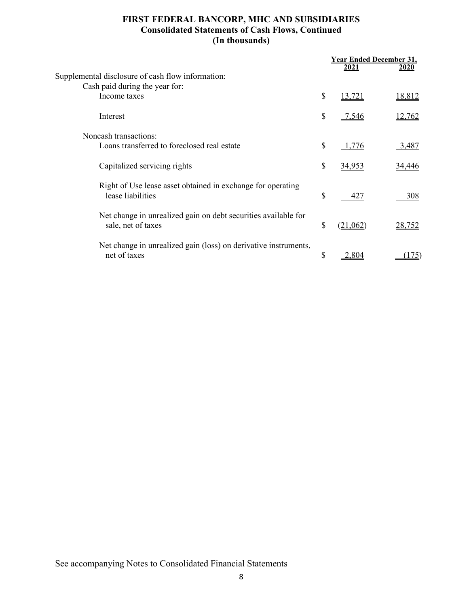# **FIRST FEDERAL BANCORP, MHC AND SUBSIDIARIES Consolidated Statements of Cash Flows, Continued (In thousands)**

|                                                                                      | <b>Year Ended December 31,</b> |               |
|--------------------------------------------------------------------------------------|--------------------------------|---------------|
| Supplemental disclosure of cash flow information:                                    | 2021                           | 2020          |
| Cash paid during the year for:                                                       |                                |               |
| Income taxes                                                                         | \$<br>13,721                   | 18,812        |
| Interest                                                                             | \$<br>$-7,546$                 | 12,762        |
| Noncash transactions:                                                                |                                |               |
| Loans transferred to foreclosed real estate                                          | \$<br>1.776                    | 3,487         |
| Capitalized servicing rights                                                         | \$<br>34,953                   | 34,446        |
| Right of Use lease asset obtained in exchange for operating<br>lease liabilities     | \$<br>427                      | 308           |
| Net change in unrealized gain on debt securities available for<br>sale, net of taxes | \$<br>(21,062)                 | <u>28,752</u> |
| Net change in unrealized gain (loss) on derivative instruments,<br>net of taxes      | \$<br>2.804                    | 75'           |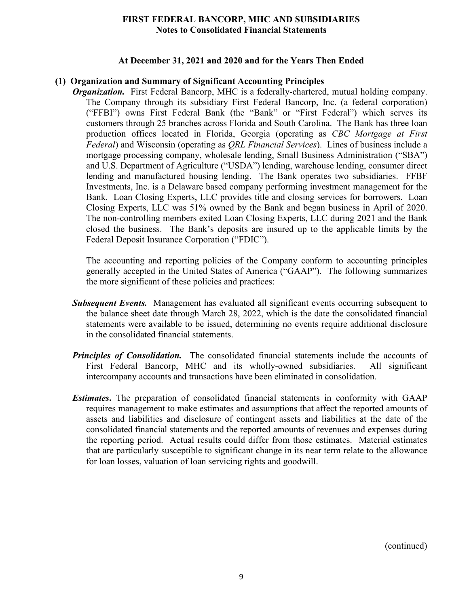#### **At December 31, 2021 and 2020 and for the Years Then Ended**

#### **(1) Organization and Summary of Significant Accounting Principles**

*Organization.* First Federal Bancorp, MHC is a federally-chartered, mutual holding company. The Company through its subsidiary First Federal Bancorp, Inc. (a federal corporation) ("FFBI") owns First Federal Bank (the "Bank" or "First Federal") which serves its customers through 25 branches across Florida and South Carolina. The Bank has three loan production offices located in Florida, Georgia (operating as *CBC Mortgage at First Federal*) and Wisconsin (operating as *QRL Financial Services*). Lines of business include a mortgage processing company, wholesale lending, Small Business Administration ("SBA") and U.S. Department of Agriculture ("USDA") lending, warehouse lending, consumer direct lending and manufactured housing lending. The Bank operates two subsidiaries. FFBF Investments, Inc. is a Delaware based company performing investment management for the Bank. Loan Closing Experts, LLC provides title and closing services for borrowers. Loan Closing Experts, LLC was 51% owned by the Bank and began business in April of 2020. The non-controlling members exited Loan Closing Experts, LLC during 2021 and the Bank closed the business. The Bank's deposits are insured up to the applicable limits by the Federal Deposit Insurance Corporation ("FDIC").

The accounting and reporting policies of the Company conform to accounting principles generally accepted in the United States of America ("GAAP"). The following summarizes the more significant of these policies and practices:

- **Subsequent Events.** Management has evaluated all significant events occurring subsequent to the balance sheet date through March 28, 2022, which is the date the consolidated financial statements were available to be issued, determining no events require additional disclosure in the consolidated financial statements.
- **Principles of Consolidation.** The consolidated financial statements include the accounts of First Federal Bancorp, MHC and its wholly-owned subsidiaries. All significant intercompany accounts and transactions have been eliminated in consolidation.
- *Estimates***.** The preparation of consolidated financial statements in conformity with GAAP requires management to make estimates and assumptions that affect the reported amounts of assets and liabilities and disclosure of contingent assets and liabilities at the date of the consolidated financial statements and the reported amounts of revenues and expenses during the reporting period. Actual results could differ from those estimates. Material estimates that are particularly susceptible to significant change in its near term relate to the allowance for loan losses, valuation of loan servicing rights and goodwill.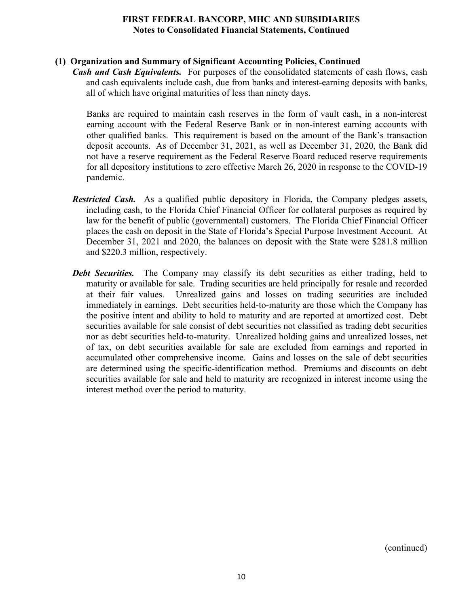# **(1) Organization and Summary of Significant Accounting Policies, Continued**

*Cash and Cash Equivalents.* For purposes of the consolidated statements of cash flows, cash and cash equivalents include cash, due from banks and interest-earning deposits with banks, all of which have original maturities of less than ninety days.

Banks are required to maintain cash reserves in the form of vault cash, in a non-interest earning account with the Federal Reserve Bank or in non-interest earning accounts with other qualified banks. This requirement is based on the amount of the Bank's transaction deposit accounts. As of December 31, 2021, as well as December 31, 2020, the Bank did not have a reserve requirement as the Federal Reserve Board reduced reserve requirements for all depository institutions to zero effective March 26, 2020 in response to the COVID-19 pandemic.

- *Restricted Cash.* As a qualified public depository in Florida, the Company pledges assets, including cash, to the Florida Chief Financial Officer for collateral purposes as required by law for the benefit of public (governmental) customers. The Florida Chief Financial Officer places the cash on deposit in the State of Florida's Special Purpose Investment Account. At December 31, 2021 and 2020, the balances on deposit with the State were \$281.8 million and \$220.3 million, respectively.
- *Debt Securities.* The Company may classify its debt securities as either trading, held to maturity or available for sale. Trading securities are held principally for resale and recorded at their fair values. Unrealized gains and losses on trading securities are included immediately in earnings. Debt securities held-to-maturity are those which the Company has the positive intent and ability to hold to maturity and are reported at amortized cost. Debt securities available for sale consist of debt securities not classified as trading debt securities nor as debt securities held-to-maturity. Unrealized holding gains and unrealized losses, net of tax, on debt securities available for sale are excluded from earnings and reported in accumulated other comprehensive income. Gains and losses on the sale of debt securities are determined using the specific-identification method. Premiums and discounts on debt securities available for sale and held to maturity are recognized in interest income using the interest method over the period to maturity.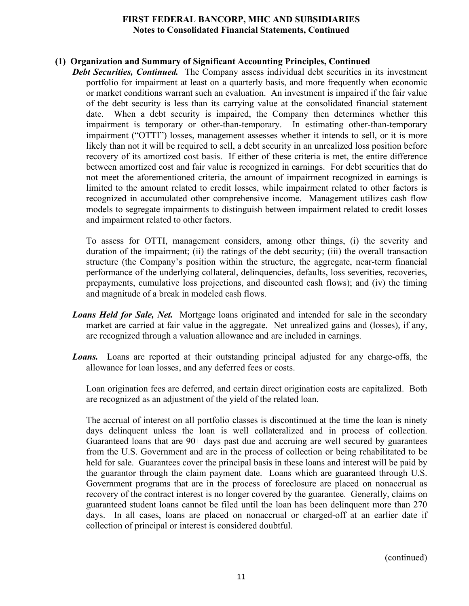# **(1) Organization and Summary of Significant Accounting Principles, Continued**

**Debt Securities, Continued.** The Company assess individual debt securities in its investment portfolio for impairment at least on a quarterly basis, and more frequently when economic or market conditions warrant such an evaluation. An investment is impaired if the fair value of the debt security is less than its carrying value at the consolidated financial statement date. When a debt security is impaired, the Company then determines whether this impairment is temporary or other-than-temporary. In estimating other-than-temporary impairment ("OTTI") losses, management assesses whether it intends to sell, or it is more likely than not it will be required to sell, a debt security in an unrealized loss position before recovery of its amortized cost basis. If either of these criteria is met, the entire difference between amortized cost and fair value is recognized in earnings. For debt securities that do not meet the aforementioned criteria, the amount of impairment recognized in earnings is limited to the amount related to credit losses, while impairment related to other factors is recognized in accumulated other comprehensive income. Management utilizes cash flow models to segregate impairments to distinguish between impairment related to credit losses and impairment related to other factors.

To assess for OTTI, management considers, among other things, (i) the severity and duration of the impairment; (ii) the ratings of the debt security; (iii) the overall transaction structure (the Company's position within the structure, the aggregate, near-term financial performance of the underlying collateral, delinquencies, defaults, loss severities, recoveries, prepayments, cumulative loss projections, and discounted cash flows); and (iv) the timing and magnitude of a break in modeled cash flows.

- *Loans Held for Sale, Net.* Mortgage loans originated and intended for sale in the secondary market are carried at fair value in the aggregate. Net unrealized gains and (losses), if any, are recognized through a valuation allowance and are included in earnings.
- *Loans.* Loans are reported at their outstanding principal adjusted for any charge-offs, the allowance for loan losses, and any deferred fees or costs.

Loan origination fees are deferred, and certain direct origination costs are capitalized. Both are recognized as an adjustment of the yield of the related loan.

The accrual of interest on all portfolio classes is discontinued at the time the loan is ninety days delinquent unless the loan is well collateralized and in process of collection. Guaranteed loans that are 90+ days past due and accruing are well secured by guarantees from the U.S. Government and are in the process of collection or being rehabilitated to be held for sale. Guarantees cover the principal basis in these loans and interest will be paid by the guarantor through the claim payment date. Loans which are guaranteed through U.S. Government programs that are in the process of foreclosure are placed on nonaccrual as recovery of the contract interest is no longer covered by the guarantee. Generally, claims on guaranteed student loans cannot be filed until the loan has been delinquent more than 270 days. In all cases, loans are placed on nonaccrual or charged-off at an earlier date if collection of principal or interest is considered doubtful.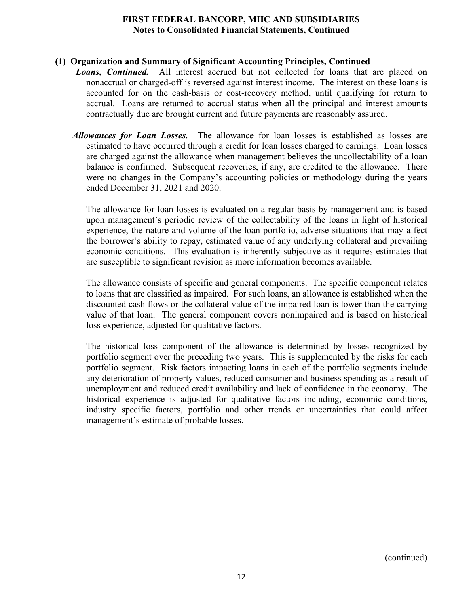# **(1) Organization and Summary of Significant Accounting Principles, Continued**

- **Loans, Continued.** All interest accrued but not collected for loans that are placed on nonaccrual or charged-off is reversed against interest income. The interest on these loans is accounted for on the cash-basis or cost-recovery method, until qualifying for return to accrual. Loans are returned to accrual status when all the principal and interest amounts contractually due are brought current and future payments are reasonably assured.
	- *Allowances for Loan Losses.* The allowance for loan losses is established as losses are estimated to have occurred through a credit for loan losses charged to earnings. Loan losses are charged against the allowance when management believes the uncollectability of a loan balance is confirmed. Subsequent recoveries, if any, are credited to the allowance. There were no changes in the Company's accounting policies or methodology during the years ended December 31, 2021 and 2020.

The allowance for loan losses is evaluated on a regular basis by management and is based upon management's periodic review of the collectability of the loans in light of historical experience, the nature and volume of the loan portfolio, adverse situations that may affect the borrower's ability to repay, estimated value of any underlying collateral and prevailing economic conditions. This evaluation is inherently subjective as it requires estimates that are susceptible to significant revision as more information becomes available.

The allowance consists of specific and general components. The specific component relates to loans that are classified as impaired. For such loans, an allowance is established when the discounted cash flows or the collateral value of the impaired loan is lower than the carrying value of that loan. The general component covers nonimpaired and is based on historical loss experience, adjusted for qualitative factors.

The historical loss component of the allowance is determined by losses recognized by portfolio segment over the preceding two years. This is supplemented by the risks for each portfolio segment. Risk factors impacting loans in each of the portfolio segments include any deterioration of property values, reduced consumer and business spending as a result of unemployment and reduced credit availability and lack of confidence in the economy. The historical experience is adjusted for qualitative factors including, economic conditions, industry specific factors, portfolio and other trends or uncertainties that could affect management's estimate of probable losses.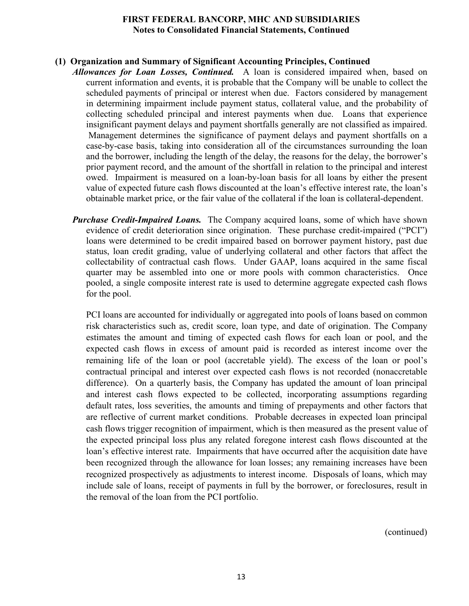#### **(1) Organization and Summary of Significant Accounting Principles, Continued**

- *Allowances for Loan Losses, Continued.* A loan is considered impaired when, based on current information and events, it is probable that the Company will be unable to collect the scheduled payments of principal or interest when due. Factors considered by management in determining impairment include payment status, collateral value, and the probability of collecting scheduled principal and interest payments when due. Loans that experience insignificant payment delays and payment shortfalls generally are not classified as impaired. Management determines the significance of payment delays and payment shortfalls on a case-by-case basis, taking into consideration all of the circumstances surrounding the loan and the borrower, including the length of the delay, the reasons for the delay, the borrower's prior payment record, and the amount of the shortfall in relation to the principal and interest owed. Impairment is measured on a loan-by-loan basis for all loans by either the present value of expected future cash flows discounted at the loan's effective interest rate, the loan's obtainable market price, or the fair value of the collateral if the loan is collateral-dependent.
	- *Purchase Credit-Impaired Loans.* The Company acquired loans, some of which have shown evidence of credit deterioration since origination. These purchase credit-impaired ("PCI") loans were determined to be credit impaired based on borrower payment history, past due status, loan credit grading, value of underlying collateral and other factors that affect the collectability of contractual cash flows. Under GAAP, loans acquired in the same fiscal quarter may be assembled into one or more pools with common characteristics. Once pooled, a single composite interest rate is used to determine aggregate expected cash flows for the pool.

PCI loans are accounted for individually or aggregated into pools of loans based on common risk characteristics such as, credit score, loan type, and date of origination. The Company estimates the amount and timing of expected cash flows for each loan or pool, and the expected cash flows in excess of amount paid is recorded as interest income over the remaining life of the loan or pool (accretable yield). The excess of the loan or pool's contractual principal and interest over expected cash flows is not recorded (nonaccretable difference). On a quarterly basis, the Company has updated the amount of loan principal and interest cash flows expected to be collected, incorporating assumptions regarding default rates, loss severities, the amounts and timing of prepayments and other factors that are reflective of current market conditions. Probable decreases in expected loan principal cash flows trigger recognition of impairment, which is then measured as the present value of the expected principal loss plus any related foregone interest cash flows discounted at the loan's effective interest rate. Impairments that have occurred after the acquisition date have been recognized through the allowance for loan losses; any remaining increases have been recognized prospectively as adjustments to interest income. Disposals of loans, which may include sale of loans, receipt of payments in full by the borrower, or foreclosures, result in the removal of the loan from the PCI portfolio.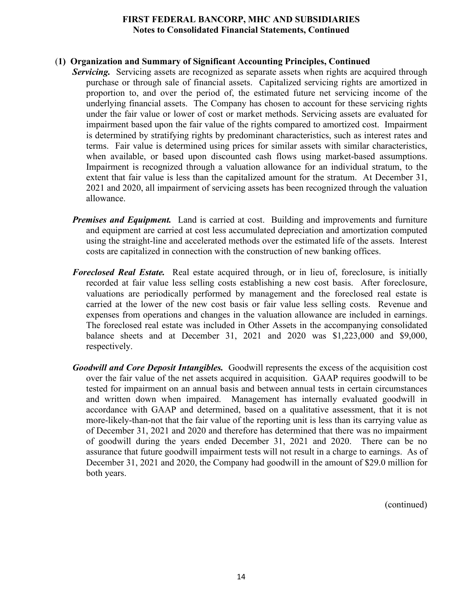#### (**1) Organization and Summary of Significant Accounting Principles, Continued**

- **Servicing.** Servicing assets are recognized as separate assets when rights are acquired through purchase or through sale of financial assets. Capitalized servicing rights are amortized in proportion to, and over the period of, the estimated future net servicing income of the underlying financial assets. The Company has chosen to account for these servicing rights under the fair value or lower of cost or market methods. Servicing assets are evaluated for impairment based upon the fair value of the rights compared to amortized cost. Impairment is determined by stratifying rights by predominant characteristics, such as interest rates and terms. Fair value is determined using prices for similar assets with similar characteristics, when available, or based upon discounted cash flows using market-based assumptions. Impairment is recognized through a valuation allowance for an individual stratum, to the extent that fair value is less than the capitalized amount for the stratum. At December 31, 2021 and 2020, all impairment of servicing assets has been recognized through the valuation allowance.
	- *Premises and Equipment.* Land is carried at cost. Building and improvements and furniture and equipment are carried at cost less accumulated depreciation and amortization computed using the straight-line and accelerated methods over the estimated life of the assets. Interest costs are capitalized in connection with the construction of new banking offices.
	- *Foreclosed Real Estate.* Real estate acquired through, or in lieu of, foreclosure, is initially recorded at fair value less selling costs establishing a new cost basis. After foreclosure, valuations are periodically performed by management and the foreclosed real estate is carried at the lower of the new cost basis or fair value less selling costs. Revenue and expenses from operations and changes in the valuation allowance are included in earnings. The foreclosed real estate was included in Other Assets in the accompanying consolidated balance sheets and at December 31, 2021 and 2020 was \$1,223,000 and \$9,000, respectively.
	- *Goodwill and Core Deposit Intangibles.* Goodwill represents the excess of the acquisition cost over the fair value of the net assets acquired in acquisition. GAAP requires goodwill to be tested for impairment on an annual basis and between annual tests in certain circumstances and written down when impaired. Management has internally evaluated goodwill in accordance with GAAP and determined, based on a qualitative assessment, that it is not more-likely-than-not that the fair value of the reporting unit is less than its carrying value as of December 31, 2021 and 2020 and therefore has determined that there was no impairment of goodwill during the years ended December 31, 2021 and 2020. There can be no assurance that future goodwill impairment tests will not result in a charge to earnings. As of December 31, 2021 and 2020, the Company had goodwill in the amount of \$29.0 million for both years.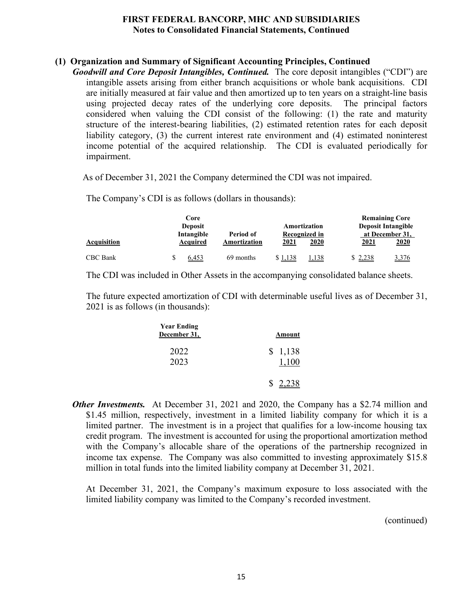# **(1) Organization and Summary of Significant Accounting Principles, Continued**

*Goodwill and Core Deposit Intangibles, Continued.* The core deposit intangibles ("CDI") are intangible assets arising from either branch acquisitions or whole bank acquisitions. CDI are initially measured at fair value and then amortized up to ten years on a straight-line basis using projected decay rates of the underlying core deposits. The principal factors considered when valuing the CDI consist of the following: (1) the rate and maturity structure of the interest-bearing liabilities, (2) estimated retention rates for each deposit liability category, (3) the current interest rate environment and (4) estimated noninterest income potential of the acquired relationship. The CDI is evaluated periodically for impairment.

As of December 31, 2021 the Company determined the CDI was not impaired.

The Company's CDI is as follows (dollars in thousands):

|             | Core<br><b>Deposit</b> |              |               | Amortization |         | <b>Remaining Core</b><br><b>Deposit Intangible</b> |
|-------------|------------------------|--------------|---------------|--------------|---------|----------------------------------------------------|
|             | Intangible             | Period of    | Recognized in |              |         | at December 31,                                    |
| Acquisition | Acquired               | Amortization | 2021          | 2020         | 2021    | 2020                                               |
| CBC Bank    | 6,453                  | 69 months    | \$1,138       | 1,138        | \$2,238 | 3,376                                              |

The CDI was included in Other Assets in the accompanying consolidated balance sheets.

The future expected amortization of CDI with determinable useful lives as of December 31, 2021 is as follows (in thousands):

| Amount  | <b>Year Ending</b><br>December 31, |
|---------|------------------------------------|
| \$1,138 | 2022<br>2023                       |
| \$      |                                    |

*Other Investments.* At December 31, 2021 and 2020, the Company has a \$2.74 million and \$1.45 million, respectively, investment in a limited liability company for which it is a limited partner. The investment is in a project that qualifies for a low-income housing tax credit program. The investment is accounted for using the proportional amortization method with the Company's allocable share of the operations of the partnership recognized in income tax expense. The Company was also committed to investing approximately \$15.8 million in total funds into the limited liability company at December 31, 2021.

 At December 31, 2021, the Company's maximum exposure to loss associated with the limited liability company was limited to the Company's recorded investment.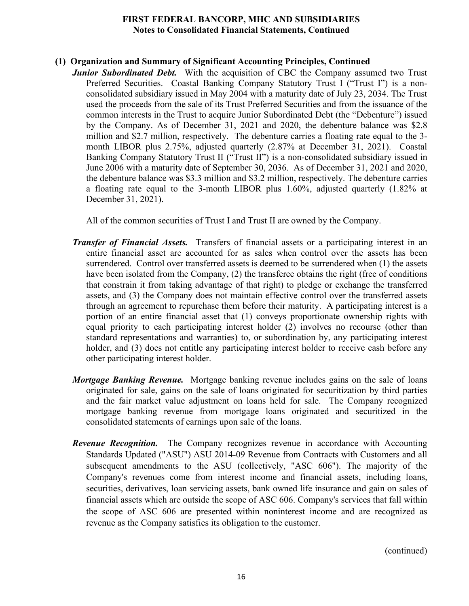# **(1) Organization and Summary of Significant Accounting Principles, Continued**

*Junior Subordinated Debt.* With the acquisition of CBC the Company assumed two Trust Preferred Securities. Coastal Banking Company Statutory Trust I ("Trust I") is a nonconsolidated subsidiary issued in May 2004 with a maturity date of July 23, 2034. The Trust used the proceeds from the sale of its Trust Preferred Securities and from the issuance of the common interests in the Trust to acquire Junior Subordinated Debt (the "Debenture") issued by the Company. As of December 31, 2021 and 2020, the debenture balance was \$2.8 million and \$2.7 million, respectively. The debenture carries a floating rate equal to the 3 month LIBOR plus 2.75%, adjusted quarterly (2.87% at December 31, 2021). Coastal Banking Company Statutory Trust II ("Trust II") is a non-consolidated subsidiary issued in June 2006 with a maturity date of September 30, 2036. As of December 31, 2021 and 2020, the debenture balance was \$3.3 million and \$3.2 million, respectively. The debenture carries a floating rate equal to the 3-month LIBOR plus 1.60%, adjusted quarterly (1.82% at December 31, 2021).

All of the common securities of Trust I and Trust II are owned by the Company.

- *Transfer of Financial Assets.* Transfers of financial assets or a participating interest in an entire financial asset are accounted for as sales when control over the assets has been surrendered. Control over transferred assets is deemed to be surrendered when (1) the assets have been isolated from the Company, (2) the transferee obtains the right (free of conditions that constrain it from taking advantage of that right) to pledge or exchange the transferred assets, and (3) the Company does not maintain effective control over the transferred assets through an agreement to repurchase them before their maturity. A participating interest is a portion of an entire financial asset that (1) conveys proportionate ownership rights with equal priority to each participating interest holder (2) involves no recourse (other than standard representations and warranties) to, or subordination by, any participating interest holder, and (3) does not entitle any participating interest holder to receive cash before any other participating interest holder.
- *Mortgage Banking Revenue.* Mortgage banking revenue includes gains on the sale of loans originated for sale, gains on the sale of loans originated for securitization by third parties and the fair market value adjustment on loans held for sale. The Company recognized mortgage banking revenue from mortgage loans originated and securitized in the consolidated statements of earnings upon sale of the loans.
- *Revenue Recognition.* The Company recognizes revenue in accordance with Accounting Standards Updated ("ASU") ASU 2014-09 Revenue from Contracts with Customers and all subsequent amendments to the ASU (collectively, "ASC 606"). The majority of the Company's revenues come from interest income and financial assets, including loans, securities, derivatives, loan servicing assets, bank owned life insurance and gain on sales of financial assets which are outside the scope of ASC 606. Company's services that fall within the scope of ASC 606 are presented within noninterest income and are recognized as revenue as the Company satisfies its obligation to the customer.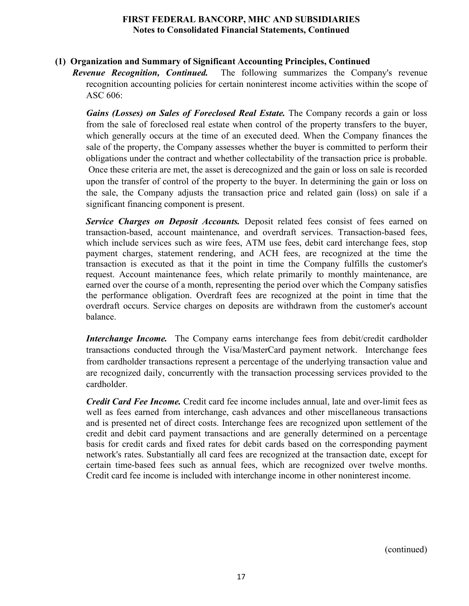# **(1) Organization and Summary of Significant Accounting Principles, Continued**

*Revenue Recognition, Continued.* The following summarizes the Company's revenue recognition accounting policies for certain noninterest income activities within the scope of ASC 606:

*Gains (Losses) on Sales of Foreclosed Real Estate.* The Company records a gain or loss from the sale of foreclosed real estate when control of the property transfers to the buyer, which generally occurs at the time of an executed deed. When the Company finances the sale of the property, the Company assesses whether the buyer is committed to perform their obligations under the contract and whether collectability of the transaction price is probable. Once these criteria are met, the asset is derecognized and the gain or loss on sale is recorded upon the transfer of control of the property to the buyer. In determining the gain or loss on the sale, the Company adjusts the transaction price and related gain (loss) on sale if a significant financing component is present.

*Service Charges on Deposit Accounts.* Deposit related fees consist of fees earned on transaction-based, account maintenance, and overdraft services. Transaction-based fees, which include services such as wire fees, ATM use fees, debit card interchange fees, stop payment charges, statement rendering, and ACH fees, are recognized at the time the transaction is executed as that it the point in time the Company fulfills the customer's request. Account maintenance fees, which relate primarily to monthly maintenance, are earned over the course of a month, representing the period over which the Company satisfies the performance obligation. Overdraft fees are recognized at the point in time that the overdraft occurs. Service charges on deposits are withdrawn from the customer's account balance.

*Interchange Income.* The Company earns interchange fees from debit/credit cardholder transactions conducted through the Visa/MasterCard payment network. Interchange fees from cardholder transactions represent a percentage of the underlying transaction value and are recognized daily, concurrently with the transaction processing services provided to the cardholder.

*Credit Card Fee Income.* Credit card fee income includes annual, late and over-limit fees as well as fees earned from interchange, cash advances and other miscellaneous transactions and is presented net of direct costs. Interchange fees are recognized upon settlement of the credit and debit card payment transactions and are generally determined on a percentage basis for credit cards and fixed rates for debit cards based on the corresponding payment network's rates. Substantially all card fees are recognized at the transaction date, except for certain time-based fees such as annual fees, which are recognized over twelve months. Credit card fee income is included with interchange income in other noninterest income.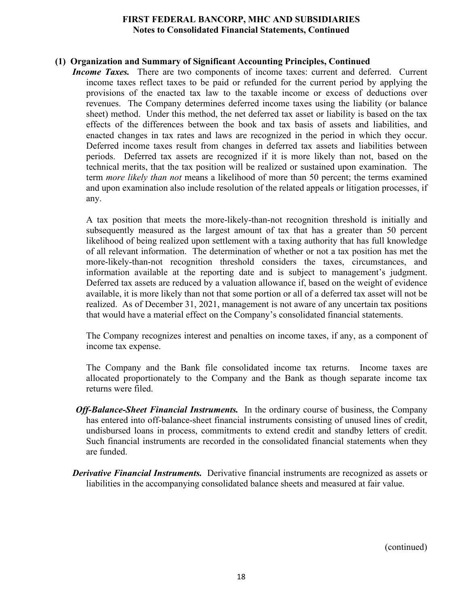# **(1) Organization and Summary of Significant Accounting Principles, Continued**

**Income Taxes.** There are two components of income taxes: current and deferred. Current income taxes reflect taxes to be paid or refunded for the current period by applying the provisions of the enacted tax law to the taxable income or excess of deductions over revenues. The Company determines deferred income taxes using the liability (or balance sheet) method. Under this method, the net deferred tax asset or liability is based on the tax effects of the differences between the book and tax basis of assets and liabilities, and enacted changes in tax rates and laws are recognized in the period in which they occur. Deferred income taxes result from changes in deferred tax assets and liabilities between periods. Deferred tax assets are recognized if it is more likely than not, based on the technical merits, that the tax position will be realized or sustained upon examination. The term *more likely than not* means a likelihood of more than 50 percent; the terms examined and upon examination also include resolution of the related appeals or litigation processes, if any.

A tax position that meets the more-likely-than-not recognition threshold is initially and subsequently measured as the largest amount of tax that has a greater than 50 percent likelihood of being realized upon settlement with a taxing authority that has full knowledge of all relevant information. The determination of whether or not a tax position has met the more-likely-than-not recognition threshold considers the taxes, circumstances, and information available at the reporting date and is subject to management's judgment. Deferred tax assets are reduced by a valuation allowance if, based on the weight of evidence available, it is more likely than not that some portion or all of a deferred tax asset will not be realized. As of December 31, 2021, management is not aware of any uncertain tax positions that would have a material effect on the Company's consolidated financial statements.

The Company recognizes interest and penalties on income taxes, if any, as a component of income tax expense.

The Company and the Bank file consolidated income tax returns. Income taxes are allocated proportionately to the Company and the Bank as though separate income tax returns were filed.

- *Off-Balance-Sheet Financial Instruments.* In the ordinary course of business, the Company has entered into off-balance-sheet financial instruments consisting of unused lines of credit, undisbursed loans in process, commitments to extend credit and standby letters of credit. Such financial instruments are recorded in the consolidated financial statements when they are funded.
- *Derivative Financial Instruments.* Derivative financial instruments are recognized as assets or liabilities in the accompanying consolidated balance sheets and measured at fair value.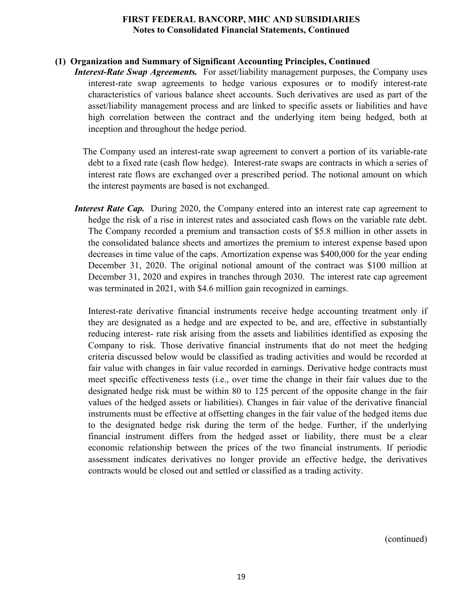# **(1) Organization and Summary of Significant Accounting Principles, Continued**

*Interest-Rate Swap Agreements.* For asset/liability management purposes, the Company uses interest-rate swap agreements to hedge various exposures or to modify interest-rate characteristics of various balance sheet accounts. Such derivatives are used as part of the asset/liability management process and are linked to specific assets or liabilities and have high correlation between the contract and the underlying item being hedged, both at inception and throughout the hedge period.

The Company used an interest-rate swap agreement to convert a portion of its variable-rate debt to a fixed rate (cash flow hedge). Interest-rate swaps are contracts in which a series of interest rate flows are exchanged over a prescribed period. The notional amount on which the interest payments are based is not exchanged.

*Interest Rate Cap.* During 2020, the Company entered into an interest rate cap agreement to hedge the risk of a rise in interest rates and associated cash flows on the variable rate debt. The Company recorded a premium and transaction costs of \$5.8 million in other assets in the consolidated balance sheets and amortizes the premium to interest expense based upon decreases in time value of the caps. Amortization expense was \$400,000 for the year ending December 31, 2020. The original notional amount of the contract was \$100 million at December 31, 2020 and expires in tranches through 2030. The interest rate cap agreement was terminated in 2021, with \$4.6 million gain recognized in earnings.

Interest-rate derivative financial instruments receive hedge accounting treatment only if they are designated as a hedge and are expected to be, and are, effective in substantially reducing interest- rate risk arising from the assets and liabilities identified as exposing the Company to risk. Those derivative financial instruments that do not meet the hedging criteria discussed below would be classified as trading activities and would be recorded at fair value with changes in fair value recorded in earnings. Derivative hedge contracts must meet specific effectiveness tests (i.e., over time the change in their fair values due to the designated hedge risk must be within 80 to 125 percent of the opposite change in the fair values of the hedged assets or liabilities). Changes in fair value of the derivative financial instruments must be effective at offsetting changes in the fair value of the hedged items due to the designated hedge risk during the term of the hedge. Further, if the underlying financial instrument differs from the hedged asset or liability, there must be a clear economic relationship between the prices of the two financial instruments. If periodic assessment indicates derivatives no longer provide an effective hedge, the derivatives contracts would be closed out and settled or classified as a trading activity.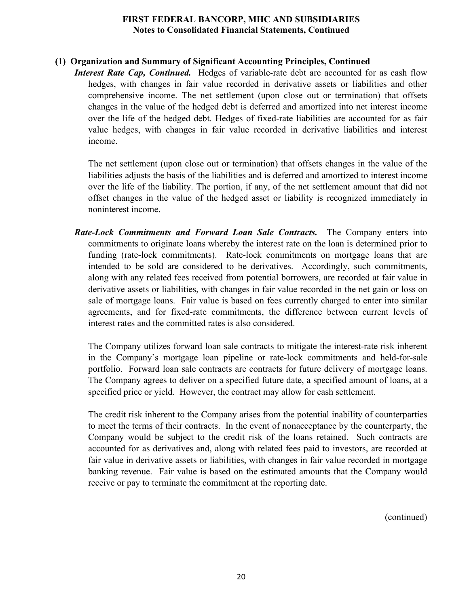# **(1) Organization and Summary of Significant Accounting Principles, Continued**

*Interest Rate Cap, Continued.* Hedges of variable-rate debt are accounted for as cash flow hedges, with changes in fair value recorded in derivative assets or liabilities and other comprehensive income. The net settlement (upon close out or termination) that offsets changes in the value of the hedged debt is deferred and amortized into net interest income over the life of the hedged debt. Hedges of fixed-rate liabilities are accounted for as fair value hedges, with changes in fair value recorded in derivative liabilities and interest income.

The net settlement (upon close out or termination) that offsets changes in the value of the liabilities adjusts the basis of the liabilities and is deferred and amortized to interest income over the life of the liability. The portion, if any, of the net settlement amount that did not offset changes in the value of the hedged asset or liability is recognized immediately in noninterest income.

*Rate-Lock Commitments and Forward Loan Sale Contracts.* The Company enters into commitments to originate loans whereby the interest rate on the loan is determined prior to funding (rate-lock commitments). Rate-lock commitments on mortgage loans that are intended to be sold are considered to be derivatives. Accordingly, such commitments, along with any related fees received from potential borrowers, are recorded at fair value in derivative assets or liabilities, with changes in fair value recorded in the net gain or loss on sale of mortgage loans. Fair value is based on fees currently charged to enter into similar agreements, and for fixed-rate commitments, the difference between current levels of interest rates and the committed rates is also considered.

The Company utilizes forward loan sale contracts to mitigate the interest-rate risk inherent in the Company's mortgage loan pipeline or rate-lock commitments and held-for-sale portfolio. Forward loan sale contracts are contracts for future delivery of mortgage loans. The Company agrees to deliver on a specified future date, a specified amount of loans, at a specified price or yield. However, the contract may allow for cash settlement.

The credit risk inherent to the Company arises from the potential inability of counterparties to meet the terms of their contracts. In the event of nonacceptance by the counterparty, the Company would be subject to the credit risk of the loans retained. Such contracts are accounted for as derivatives and, along with related fees paid to investors, are recorded at fair value in derivative assets or liabilities, with changes in fair value recorded in mortgage banking revenue. Fair value is based on the estimated amounts that the Company would receive or pay to terminate the commitment at the reporting date.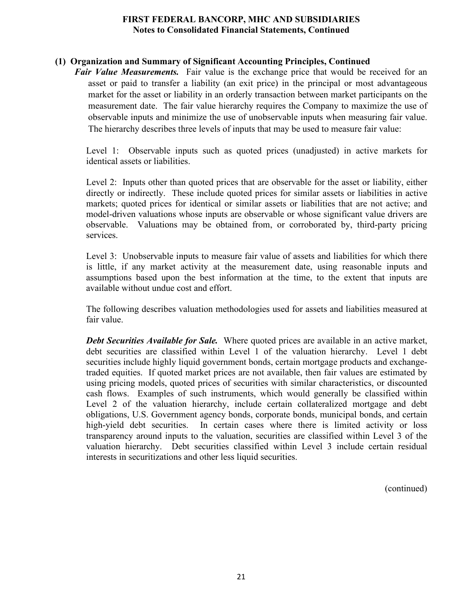# **(1) Organization and Summary of Significant Accounting Principles, Continued**

*Fair Value Measurements.* Fair value is the exchange price that would be received for an asset or paid to transfer a liability (an exit price) in the principal or most advantageous market for the asset or liability in an orderly transaction between market participants on the measurement date. The fair value hierarchy requires the Company to maximize the use of observable inputs and minimize the use of unobservable inputs when measuring fair value. The hierarchy describes three levels of inputs that may be used to measure fair value:

Level 1: Observable inputs such as quoted prices (unadjusted) in active markets for identical assets or liabilities.

Level 2: Inputs other than quoted prices that are observable for the asset or liability, either directly or indirectly. These include quoted prices for similar assets or liabilities in active markets; quoted prices for identical or similar assets or liabilities that are not active; and model-driven valuations whose inputs are observable or whose significant value drivers are observable. Valuations may be obtained from, or corroborated by, third-party pricing services.

Level 3: Unobservable inputs to measure fair value of assets and liabilities for which there is little, if any market activity at the measurement date, using reasonable inputs and assumptions based upon the best information at the time, to the extent that inputs are available without undue cost and effort.

The following describes valuation methodologies used for assets and liabilities measured at fair value.

*Debt Securities Available for Sale.* Where quoted prices are available in an active market, debt securities are classified within Level 1 of the valuation hierarchy. Level 1 debt securities include highly liquid government bonds, certain mortgage products and exchangetraded equities. If quoted market prices are not available, then fair values are estimated by using pricing models, quoted prices of securities with similar characteristics, or discounted cash flows. Examples of such instruments, which would generally be classified within Level 2 of the valuation hierarchy, include certain collateralized mortgage and debt obligations, U.S. Government agency bonds, corporate bonds, municipal bonds, and certain high-yield debt securities. In certain cases where there is limited activity or loss transparency around inputs to the valuation, securities are classified within Level 3 of the valuation hierarchy. Debt securities classified within Level 3 include certain residual interests in securitizations and other less liquid securities.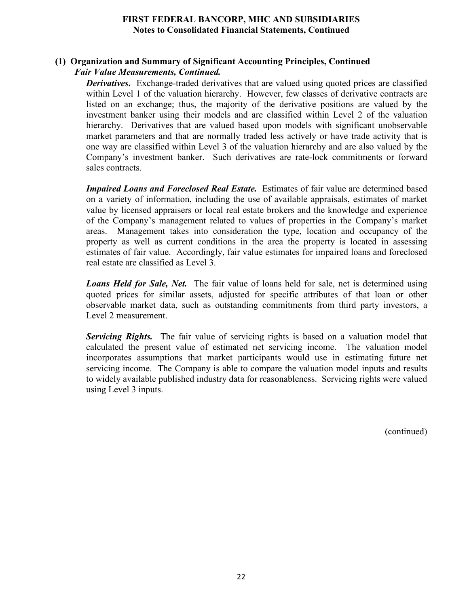# **(1) Organization and Summary of Significant Accounting Principles, Continued** *Fair Value Measurements, Continued.*

*Derivatives*. Exchange-traded derivatives that are valued using quoted prices are classified within Level 1 of the valuation hierarchy. However, few classes of derivative contracts are listed on an exchange; thus, the majority of the derivative positions are valued by the investment banker using their models and are classified within Level 2 of the valuation hierarchy. Derivatives that are valued based upon models with significant unobservable market parameters and that are normally traded less actively or have trade activity that is one way are classified within Level 3 of the valuation hierarchy and are also valued by the Company's investment banker. Such derivatives are rate-lock commitments or forward sales contracts.

*Impaired Loans and Foreclosed Real Estate.* Estimates of fair value are determined based on a variety of information, including the use of available appraisals, estimates of market value by licensed appraisers or local real estate brokers and the knowledge and experience of the Company's management related to values of properties in the Company's market areas. Management takes into consideration the type, location and occupancy of the property as well as current conditions in the area the property is located in assessing estimates of fair value. Accordingly, fair value estimates for impaired loans and foreclosed real estate are classified as Level 3.

*Loans Held for Sale, Net.* The fair value of loans held for sale, net is determined using quoted prices for similar assets, adjusted for specific attributes of that loan or other observable market data, such as outstanding commitments from third party investors, a Level 2 measurement.

*Servicing Rights.* The fair value of servicing rights is based on a valuation model that calculated the present value of estimated net servicing income. The valuation model incorporates assumptions that market participants would use in estimating future net servicing income. The Company is able to compare the valuation model inputs and results to widely available published industry data for reasonableness. Servicing rights were valued using Level 3 inputs.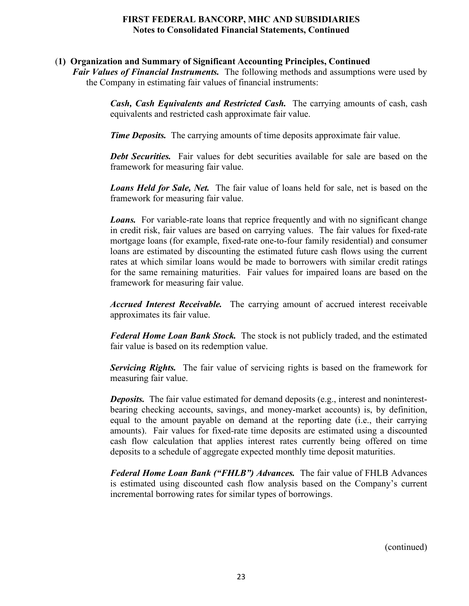# (**1) Organization and Summary of Significant Accounting Principles, Continued**

*Fair Values of Financial Instruments.* The following methods and assumptions were used by the Company in estimating fair values of financial instruments:

> *Cash, Cash Equivalents and Restricted Cash.* The carrying amounts of cash, cash equivalents and restricted cash approximate fair value.

*Time Deposits.* The carrying amounts of time deposits approximate fair value.

*Debt Securities.* Fair values for debt securities available for sale are based on the framework for measuring fair value.

*Loans Held for Sale, Net.* The fair value of loans held for sale, net is based on the framework for measuring fair value.

*Loans.* For variable-rate loans that reprice frequently and with no significant change in credit risk, fair values are based on carrying values. The fair values for fixed-rate mortgage loans (for example, fixed-rate one-to-four family residential) and consumer loans are estimated by discounting the estimated future cash flows using the current rates at which similar loans would be made to borrowers with similar credit ratings for the same remaining maturities. Fair values for impaired loans are based on the framework for measuring fair value.

*Accrued Interest Receivable.* The carrying amount of accrued interest receivable approximates its fair value.

*Federal Home Loan Bank Stock.* The stock is not publicly traded, and the estimated fair value is based on its redemption value.

*Servicing Rights.* The fair value of servicing rights is based on the framework for measuring fair value.

*Deposits.* The fair value estimated for demand deposits (e.g., interest and noninterestbearing checking accounts, savings, and money-market accounts) is, by definition, equal to the amount payable on demand at the reporting date (i.e., their carrying amounts). Fair values for fixed-rate time deposits are estimated using a discounted cash flow calculation that applies interest rates currently being offered on time deposits to a schedule of aggregate expected monthly time deposit maturities.

*Federal Home Loan Bank ("FHLB") Advances.* The fair value of FHLB Advances is estimated using discounted cash flow analysis based on the Company's current incremental borrowing rates for similar types of borrowings.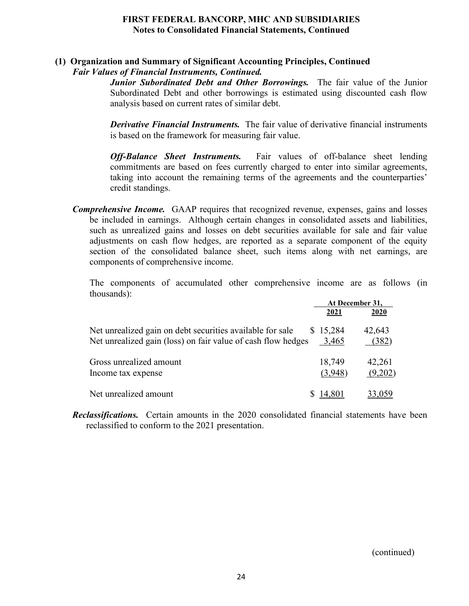# **(1) Organization and Summary of Significant Accounting Principles, Continued** *Fair Values of Financial Instruments, Continued.*

*Junior Subordinated Debt and Other Borrowings.* The fair value of the Junior Subordinated Debt and other borrowings is estimated using discounted cash flow analysis based on current rates of similar debt.

*Derivative Financial Instruments.* The fair value of derivative financial instruments is based on the framework for measuring fair value.

*Off-Balance Sheet Instruments.* Fair values of off-balance sheet lending commitments are based on fees currently charged to enter into similar agreements, taking into account the remaining terms of the agreements and the counterparties' credit standings.

*Comprehensive Income.* GAAP requires that recognized revenue, expenses, gains and losses be included in earnings. Although certain changes in consolidated assets and liabilities, such as unrealized gains and losses on debt securities available for sale and fair value adjustments on cash flow hedges, are reported as a separate component of the equity section of the consolidated balance sheet, such items along with net earnings, are components of comprehensive income.

The components of accumulated other comprehensive income are as follows (in thousands):

|                                                              |           | At December 31, |
|--------------------------------------------------------------|-----------|-----------------|
|                                                              | 2021      | 2020            |
| Net unrealized gain on debt securities available for sale    | \$15,284  | 42,643          |
| Net unrealized gain (loss) on fair value of cash flow hedges | 3,465     | (382)           |
| Gross unrealized amount                                      | 18,749    | 42,261          |
| Income tax expense                                           | (3,948)   | (9,202)         |
| Net unrealized amount                                        | \$ 14,801 | <u>33,059</u>   |

*Reclassifications.* Certain amounts in the 2020 consolidated financial statements have been reclassified to conform to the 2021 presentation.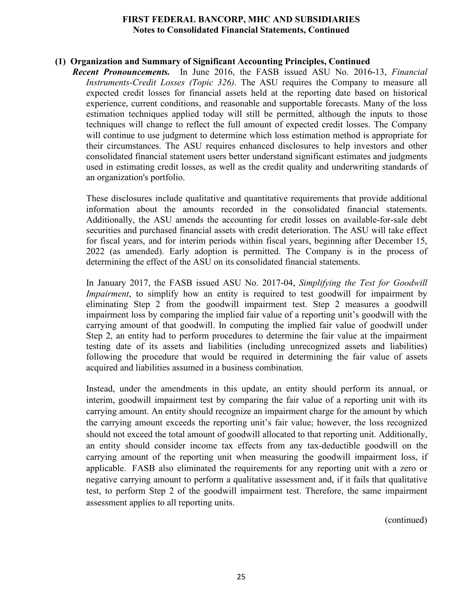#### **(1) Organization and Summary of Significant Accounting Principles, Continued**

*Recent Pronouncements.* In June 2016, the FASB issued ASU No. 2016-13, *Financial Instruments-Credit Losses (Topic 326)*. The ASU requires the Company to measure all expected credit losses for financial assets held at the reporting date based on historical experience, current conditions, and reasonable and supportable forecasts. Many of the loss estimation techniques applied today will still be permitted, although the inputs to those techniques will change to reflect the full amount of expected credit losses. The Company will continue to use judgment to determine which loss estimation method is appropriate for their circumstances. The ASU requires enhanced disclosures to help investors and other consolidated financial statement users better understand significant estimates and judgments used in estimating credit losses, as well as the credit quality and underwriting standards of an organization's portfolio.

These disclosures include qualitative and quantitative requirements that provide additional information about the amounts recorded in the consolidated financial statements. Additionally, the ASU amends the accounting for credit losses on available-for-sale debt securities and purchased financial assets with credit deterioration. The ASU will take effect for fiscal years, and for interim periods within fiscal years, beginning after December 15, 2022 (as amended). Early adoption is permitted. The Company is in the process of determining the effect of the ASU on its consolidated financial statements.

In January 2017, the FASB issued ASU No. 2017-04, *Simplifying the Test for Goodwill Impairment*, to simplify how an entity is required to test goodwill for impairment by eliminating Step 2 from the goodwill impairment test. Step 2 measures a goodwill impairment loss by comparing the implied fair value of a reporting unit's goodwill with the carrying amount of that goodwill. In computing the implied fair value of goodwill under Step 2, an entity had to perform procedures to determine the fair value at the impairment testing date of its assets and liabilities (including unrecognized assets and liabilities) following the procedure that would be required in determining the fair value of assets acquired and liabilities assumed in a business combination.

Instead, under the amendments in this update, an entity should perform its annual, or interim, goodwill impairment test by comparing the fair value of a reporting unit with its carrying amount. An entity should recognize an impairment charge for the amount by which the carrying amount exceeds the reporting unit's fair value; however, the loss recognized should not exceed the total amount of goodwill allocated to that reporting unit. Additionally, an entity should consider income tax effects from any tax-deductible goodwill on the carrying amount of the reporting unit when measuring the goodwill impairment loss, if applicable. FASB also eliminated the requirements for any reporting unit with a zero or negative carrying amount to perform a qualitative assessment and, if it fails that qualitative test, to perform Step 2 of the goodwill impairment test. Therefore, the same impairment assessment applies to all reporting units.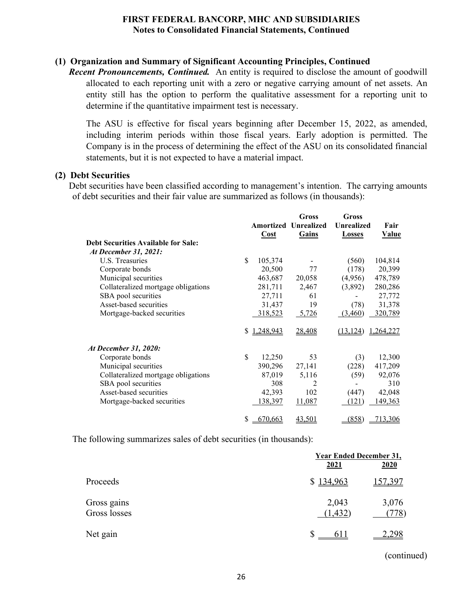# **(1) Organization and Summary of Significant Accounting Principles, Continued**

*Recent Pronouncements, Continued.* An entity is required to disclose the amount of goodwill allocated to each reporting unit with a zero or negative carrying amount of net assets. An entity still has the option to perform the qualitative assessment for a reporting unit to determine if the quantitative impairment test is necessary.

The ASU is effective for fiscal years beginning after December 15, 2022, as amended, including interim periods within those fiscal years. Early adoption is permitted. The Company is in the process of determining the effect of the ASU on its consolidated financial statements, but it is not expected to have a material impact.

#### **(2) Debt Securities**

Debt securities have been classified according to management's intention. The carrying amounts of debt securities and their fair value are summarized as follows (in thousands):

|                                            |    |           | <b>Gross</b>      | <b>Gross</b>      |              |
|--------------------------------------------|----|-----------|-------------------|-------------------|--------------|
|                                            |    | Amortized | <b>Unrealized</b> | <b>Unrealized</b> | Fair         |
|                                            |    | Cost      | <b>Gains</b>      | <b>Losses</b>     | <u>Value</u> |
| <b>Debt Securities Available for Sale:</b> |    |           |                   |                   |              |
| At December 31, 2021:                      |    |           |                   |                   |              |
| U.S. Treasuries                            | \$ | 105,374   |                   | (560)             | 104,814      |
| Corporate bonds                            |    | 20,500    | 77                | (178)             | 20,399       |
| Municipal securities                       |    | 463,687   | 20,058            | (4,956)           | 478,789      |
| Collateralized mortgage obligations        |    | 281,711   | 2,467             | (3,892)           | 280,286      |
| SBA pool securities                        |    | 27,711    | 61                |                   | 27,772       |
| Asset-based securities                     |    | 31,437    | 19                | (78)              | 31,378       |
| Mortgage-backed securities                 |    | 318,523   | $-5,726$          | (3,460)           | 320,789      |
|                                            | S  | 1,248,943 | 28,408            | (13.124)          | 1,264,227    |
| At December 31, 2020:                      |    |           |                   |                   |              |
| Corporate bonds                            | \$ | 12,250    | 53                | (3)               | 12,300       |
| Municipal securities                       |    | 390,296   | 27,141            | (228)             | 417,209      |
| Collateralized mortgage obligations        |    | 87,019    | 5,116             | (59)              | 92,076       |
| SBA pool securities                        |    | 308       | 2                 |                   | 310          |
| Asset-based securities                     |    | 42,393    | 102               | (447)             | 42,048       |
| Mortgage-backed securities                 |    | 138,397   | 11,087            | (121)             | 149,363      |
|                                            | \$ | 670,663   | 43,501            | (858)             | 713,306      |

The following summarizes sales of debt securities (in thousands):

|                             | <b>Year Ended December 31,</b> |               |
|-----------------------------|--------------------------------|---------------|
|                             | 2021                           | 2020          |
| Proceeds                    | \$134,963                      | 157,397       |
| Gross gains<br>Gross losses | 2,043<br>(1, 432)              | 3,076<br>778) |
| Net gain                    | S                              |               |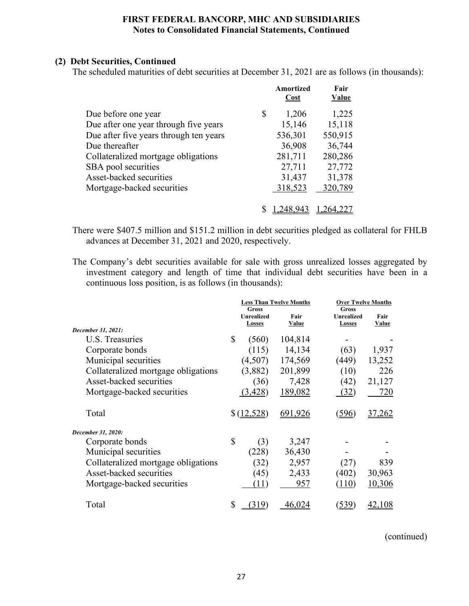# **(2) Debt Securities, Continued**

The scheduled maturities of debt securities at December 31, 2021 are as follows (in thousands):

|                                        |    | Amortized<br>Cost | Fair<br>Value |
|----------------------------------------|----|-------------------|---------------|
| Due before one year                    | \$ | 1,206             | 1,225         |
| Due after one year through five years  |    | 15,146            | 15,118        |
| Due after five years through ten years |    | 536,301           | 550,915       |
| Due thereafter                         |    | 36,908            | 36,744        |
| Collateralized mortgage obligations    |    | 281,711           | 280,286       |
| SBA pool securities                    |    | 27,711            | 27,772        |
| Asset-backed securities                |    | 31,437            | 31,378        |
| Mortgage-backed securities             |    | 318,523           | 320,789       |
|                                        |    |                   |               |
|                                        |    |                   |               |

There were \$407.5 million and \$151.2 million in debt securities pledged as collateral for FHLB advances at December 31, 2021 and 2020, respectively.

The Company's debt securities available for sale with gross unrealized losses aggregated by investment category and length of time that individual debt securities have been in a continuous loss position, is as follows (in thousands):

| Gross<br><b>Unrealized</b><br>Fair |
|------------------------------------|
| Value<br>Losses                    |
|                                    |
|                                    |
| 1,937<br>(63)                      |
| (449)<br>13,252                    |
| 226<br>(10)                        |
| (42)<br>21,127                     |
| 720                                |
| 37,262                             |
|                                    |
|                                    |
|                                    |
| 839                                |
| (402)<br>30,963                    |
| 10,306                             |
| 42,108                             |
| (32)<br>(27)<br>(110)              |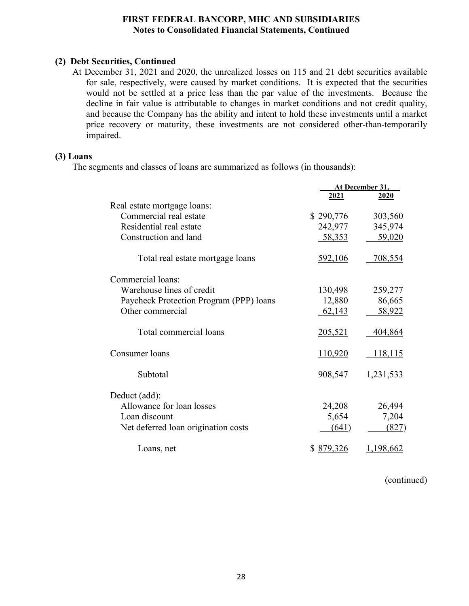# **(2) Debt Securities, Continued**

At December 31, 2021 and 2020, the unrealized losses on 115 and 21 debt securities available for sale, respectively, were caused by market conditions. It is expected that the securities would not be settled at a price less than the par value of the investments. Because the decline in fair value is attributable to changes in market conditions and not credit quality, and because the Company has the ability and intent to hold these investments until a market price recovery or maturity, these investments are not considered other-than-temporarily impaired.

#### **(3) Loans**

The segments and classes of loans are summarized as follows (in thousands):

|                                         |                | At December 31, |
|-----------------------------------------|----------------|-----------------|
|                                         | 2021           | <u>2020</u>     |
| Real estate mortgage loans:             |                |                 |
| Commercial real estate                  | \$290,776      | 303,560         |
| Residential real estate                 | 242,977        | 345,974         |
| Construction and land                   | 58,353         | 59,020          |
| Total real estate mortgage loans        | 592,106        | 708,554         |
| Commercial loans:                       |                |                 |
| Warehouse lines of credit               | 130,498        | 259,277         |
| Paycheck Protection Program (PPP) loans | 12,880         | 86,665          |
| Other commercial                        | 62,143         | 58,922          |
| Total commercial loans                  | <u>205,521</u> | 404,864         |
| Consumer loans                          | <u>110,920</u> | <u>118,115</u>  |
| Subtotal                                | 908,547        | 1,231,533       |
| Deduct (add):                           |                |                 |
| Allowance for loan losses               | 24,208         | 26,494          |
| Loan discount                           | 5,654          | 7,204           |
| Net deferred loan origination costs     | (641)          | (827)           |
| Loans, net                              | \$ 879,326     | 1,198,662       |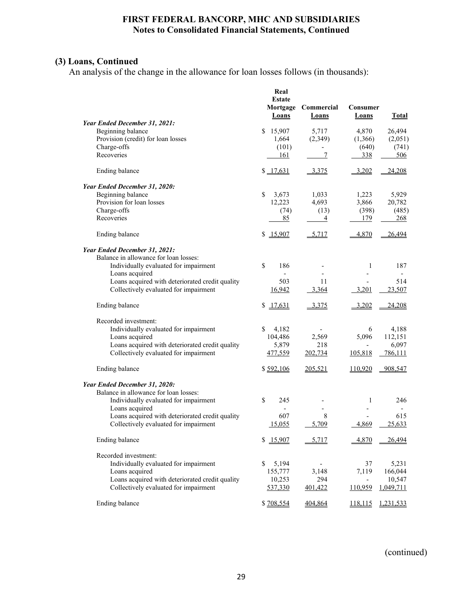# **(3) Loans, Continued**

An analysis of the change in the allowance for loan losses follows (in thousands):

|                                                 | Real<br><b>Estate</b><br>Mortgage<br>Loans | Commercial<br>Loans      | Consumer<br><b>Loans</b> | <b>Total</b> |
|-------------------------------------------------|--------------------------------------------|--------------------------|--------------------------|--------------|
| Year Ended December 31, 2021:                   |                                            |                          |                          |              |
| Beginning balance                               | \$15,907                                   | 5,717                    | 4,870                    | 26,494       |
| Provision (credit) for loan losses              | 1,664                                      | (2,349)                  | (1,366)                  | (2,051)      |
| Charge-offs                                     | (101)                                      | $\overline{\phantom{0}}$ | (640)                    | (741)        |
| Recoveries                                      | 161                                        | 7                        | 338                      | 506          |
| Ending balance                                  | \$17,631                                   | 3,375                    | 3,202                    | 24,208       |
| Year Ended December 31, 2020:                   |                                            |                          |                          |              |
| Beginning balance                               | $\mathbb{S}$<br>3,673                      | 1,033                    | 1,223                    | 5,929        |
| Provision for loan losses                       | 12,223                                     | 4,693                    | 3,866                    | 20,782       |
| Charge-offs                                     | (74)                                       | (13)                     | (398)                    | (485)        |
| Recoveries                                      | 85                                         | 4                        | 179                      | <u>268</u>   |
| Ending balance                                  | \$15,907                                   | 5,717                    | 4,870                    | 26,494       |
| Year Ended December 31, 2021:                   |                                            |                          |                          |              |
| Balance in allowance for loan losses:           |                                            |                          |                          |              |
| Individually evaluated for impairment           | \$<br>186                                  |                          | 1                        | 187          |
| Loans acquired                                  | $\overline{\phantom{a}}$                   |                          | $\overline{\phantom{a}}$ |              |
| Loans acquired with deteriorated credit quality | 503                                        | 11                       |                          | 514          |
| Collectively evaluated for impairment           | 16,942                                     | 3,364                    | 3,201                    | 23,507       |
| Ending balance                                  | \$17,631                                   | 3,375                    | 3,202                    | 24,208       |
| Recorded investment:                            |                                            |                          |                          |              |
| Individually evaluated for impairment           | 4,182<br>S                                 |                          | 6                        | 4,188        |
| Loans acquired                                  | 104,486                                    | 2,569                    | 5,096                    | 112,151      |
| Loans acquired with deteriorated credit quality | 5,879                                      | 218                      |                          | 6,097        |
| Collectively evaluated for impairment           | 477,559                                    | 202,734                  | 105,818                  | 786,111      |
| Ending balance                                  | \$592,106                                  | 205,521                  | 110,920                  | 908,547      |
| Year Ended December 31, 2020:                   |                                            |                          |                          |              |
| Balance in allowance for loan losses:           |                                            |                          |                          |              |
| Individually evaluated for impairment           | $\mathbf S$<br>245                         |                          | 1                        | 246          |
| Loans acquired                                  | $\overline{\phantom{a}}$                   | $\overline{\phantom{0}}$ | $\overline{\phantom{0}}$ |              |
| Loans acquired with deteriorated credit quality | 607                                        | 8                        |                          | 615          |
| Collectively evaluated for impairment           | 15,055                                     | 5,709                    | 4,869                    | 25.633       |
| Ending balance                                  | \$15,907                                   | 5,717                    | 4,870                    | 26,494       |
| Recorded investment:                            |                                            |                          |                          |              |
| Individually evaluated for impairment           | 5,194<br>\$                                | $\overline{\phantom{a}}$ | 37                       | 5,231        |
| Loans acquired                                  | 155,777                                    | 3,148                    | 7,119                    | 166,044      |
| Loans acquired with deteriorated credit quality | 10,253                                     | 294                      | $\overline{\phantom{a}}$ | 10,547       |
| Collectively evaluated for impairment           | 537,330                                    | 401,422                  | 110,959                  | 1,049,711    |
| Ending balance                                  | \$708,554                                  | <u>404,864</u>           | <u>118,115</u>           | 1,231,533    |
|                                                 |                                            |                          |                          |              |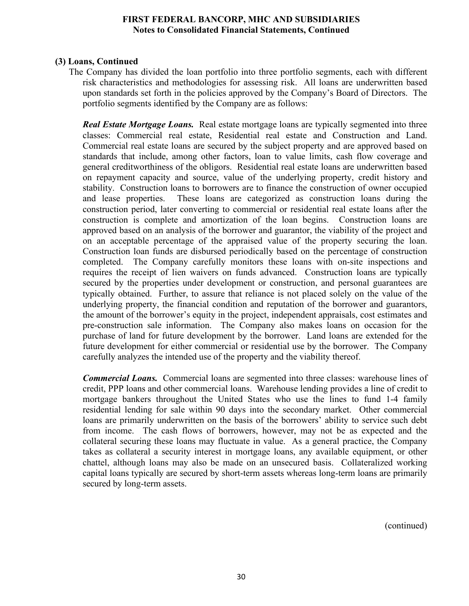# **(3) Loans, Continued**

The Company has divided the loan portfolio into three portfolio segments, each with different risk characteristics and methodologies for assessing risk. All loans are underwritten based upon standards set forth in the policies approved by the Company's Board of Directors. The portfolio segments identified by the Company are as follows:

*Real Estate Mortgage Loans.* Real estate mortgage loans are typically segmented into three classes: Commercial real estate, Residential real estate and Construction and Land. Commercial real estate loans are secured by the subject property and are approved based on standards that include, among other factors, loan to value limits, cash flow coverage and general creditworthiness of the obligors. Residential real estate loans are underwritten based on repayment capacity and source, value of the underlying property, credit history and stability. Construction loans to borrowers are to finance the construction of owner occupied and lease properties. These loans are categorized as construction loans during the construction period, later converting to commercial or residential real estate loans after the construction is complete and amortization of the loan begins. Construction loans are approved based on an analysis of the borrower and guarantor, the viability of the project and on an acceptable percentage of the appraised value of the property securing the loan. Construction loan funds are disbursed periodically based on the percentage of construction completed. The Company carefully monitors these loans with on-site inspections and requires the receipt of lien waivers on funds advanced. Construction loans are typically secured by the properties under development or construction, and personal guarantees are typically obtained. Further, to assure that reliance is not placed solely on the value of the underlying property, the financial condition and reputation of the borrower and guarantors, the amount of the borrower's equity in the project, independent appraisals, cost estimates and pre-construction sale information. The Company also makes loans on occasion for the purchase of land for future development by the borrower. Land loans are extended for the future development for either commercial or residential use by the borrower. The Company carefully analyzes the intended use of the property and the viability thereof.

*Commercial Loans.* Commercial loans are segmented into three classes: warehouse lines of credit, PPP loans and other commercial loans. Warehouse lending provides a line of credit to mortgage bankers throughout the United States who use the lines to fund 1-4 family residential lending for sale within 90 days into the secondary market. Other commercial loans are primarily underwritten on the basis of the borrowers' ability to service such debt from income. The cash flows of borrowers, however, may not be as expected and the collateral securing these loans may fluctuate in value. As a general practice, the Company takes as collateral a security interest in mortgage loans, any available equipment, or other chattel, although loans may also be made on an unsecured basis. Collateralized working capital loans typically are secured by short-term assets whereas long-term loans are primarily secured by long-term assets.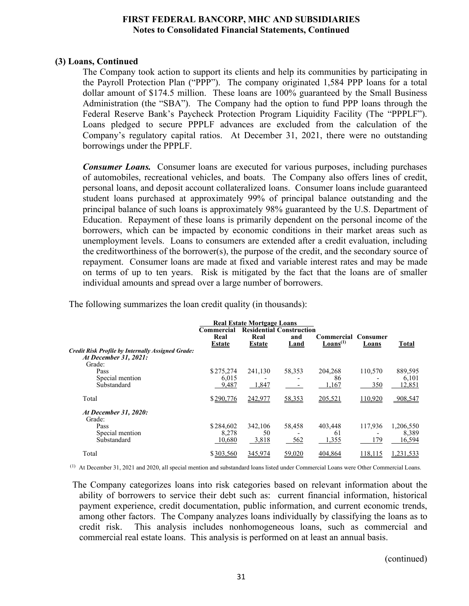#### **(3) Loans, Continued**

The Company took action to support its clients and help its communities by participating in the Payroll Protection Plan ("PPP"). The company originated 1,584 PPP loans for a total dollar amount of \$174.5 million. These loans are 100% guaranteed by the Small Business Administration (the "SBA"). The Company had the option to fund PPP loans through the Federal Reserve Bank's Paycheck Protection Program Liquidity Facility (The "PPPLF"). Loans pledged to secure PPPLF advances are excluded from the calculation of the Company's regulatory capital ratios. At December 31, 2021, there were no outstanding borrowings under the PPPLF.

*Consumer Loans.* Consumer loans are executed for various purposes, including purchases of automobiles, recreational vehicles, and boats. The Company also offers lines of credit, personal loans, and deposit account collateralized loans. Consumer loans include guaranteed student loans purchased at approximately 99% of principal balance outstanding and the principal balance of such loans is approximately 98% guaranteed by the U.S. Department of Education. Repayment of these loans is primarily dependent on the personal income of the borrowers, which can be impacted by economic conditions in their market areas such as unemployment levels. Loans to consumers are extended after a credit evaluation, including the creditworthiness of the borrower(s), the purpose of the credit, and the secondary source of repayment. Consumer loans are made at fixed and variable interest rates and may be made on terms of up to ten years. Risk is mitigated by the fact that the loans are of smaller individual amounts and spread over a large number of borrowers.

The following summarizes the loan credit quality (in thousands):

|                                                                                      |                              | <b>Real Estate Mortgage Loans</b> |                                                |                                             |                |                              |
|--------------------------------------------------------------------------------------|------------------------------|-----------------------------------|------------------------------------------------|---------------------------------------------|----------------|------------------------------|
|                                                                                      | Commercial<br>Real<br>Estate | Real<br><b>Estate</b>             | <b>Residential Construction</b><br>and<br>Land | Commercial Consumer<br>Loans <sup>(1)</sup> | Loans          | Total                        |
| Credit Risk Profile by Internally Assigned Grade:<br>At December 31, 2021:<br>Grade: |                              |                                   |                                                |                                             |                |                              |
| Pass<br>Special mention<br>Substandard                                               | \$275,274<br>6.015<br>9,487  | 241,130<br>1,847                  | 58,353                                         | 204,268<br>86<br>1,167                      | 110,570<br>350 | 889,595<br>6.101<br>12,851   |
| Total                                                                                | \$290,776                    | 242,977                           | 58,353                                         | 205,521                                     | 110,920        | 908,547                      |
| At December 31, 2020:<br>Grade:                                                      |                              |                                   |                                                |                                             |                |                              |
| Pass<br>Special mention<br>Substandard                                               | \$284,602<br>8,278<br>10,680 | 342,106<br>50<br>3,818            | 58,458<br>562                                  | 403,448<br>61<br>1,355                      | 117.936<br>179 | 1,206,550<br>8,389<br>16,594 |
| Total                                                                                | \$303,560                    | 345,974                           | 59,020                                         | 404,864                                     | 118,115        | 1,231,533                    |

(1) At December 31, 2021 and 2020, all special mention and substandard loans listed under Commercial Loans were Other Commercial Loans.

The Company categorizes loans into risk categories based on relevant information about the ability of borrowers to service their debt such as: current financial information, historical payment experience, credit documentation, public information, and current economic trends, among other factors. The Company analyzes loans individually by classifying the loans as to credit risk. This analysis includes nonhomogeneous loans, such as commercial and commercial real estate loans. This analysis is performed on at least an annual basis.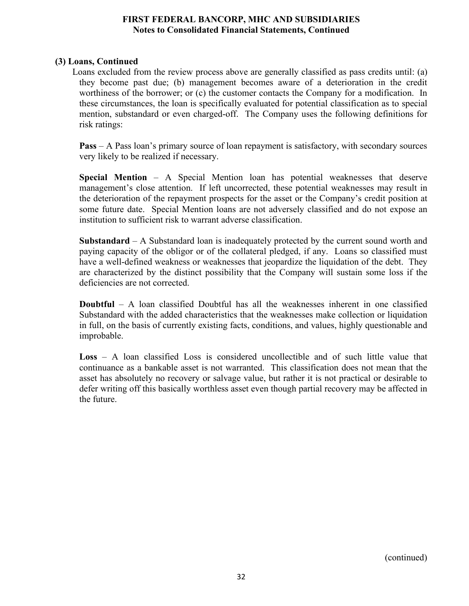# **(3) Loans, Continued**

Loans excluded from the review process above are generally classified as pass credits until: (a) they become past due; (b) management becomes aware of a deterioration in the credit worthiness of the borrower; or (c) the customer contacts the Company for a modification. In these circumstances, the loan is specifically evaluated for potential classification as to special mention, substandard or even charged-off. The Company uses the following definitions for risk ratings:

**Pass** – A Pass loan's primary source of loan repayment is satisfactory, with secondary sources very likely to be realized if necessary.

**Special Mention** – A Special Mention loan has potential weaknesses that deserve management's close attention. If left uncorrected, these potential weaknesses may result in the deterioration of the repayment prospects for the asset or the Company's credit position at some future date. Special Mention loans are not adversely classified and do not expose an institution to sufficient risk to warrant adverse classification.

**Substandard** – A Substandard loan is inadequately protected by the current sound worth and paying capacity of the obligor or of the collateral pledged, if any. Loans so classified must have a well-defined weakness or weaknesses that jeopardize the liquidation of the debt. They are characterized by the distinct possibility that the Company will sustain some loss if the deficiencies are not corrected.

**Doubtful** – A loan classified Doubtful has all the weaknesses inherent in one classified Substandard with the added characteristics that the weaknesses make collection or liquidation in full, on the basis of currently existing facts, conditions, and values, highly questionable and improbable.

**Loss** – A loan classified Loss is considered uncollectible and of such little value that continuance as a bankable asset is not warranted. This classification does not mean that the asset has absolutely no recovery or salvage value, but rather it is not practical or desirable to defer writing off this basically worthless asset even though partial recovery may be affected in the future.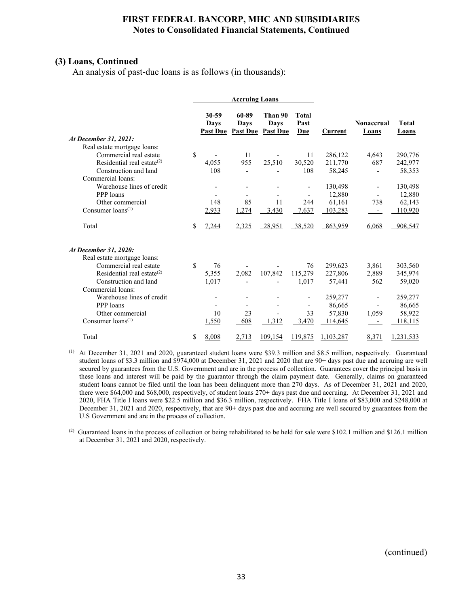# **(3) Loans, Continued**

An analysis of past-due loans is as follows (in thousands):

|                                  |                                  | <b>Accruing Loans</b>    |                                             |                             |           |                                   |                       |
|----------------------------------|----------------------------------|--------------------------|---------------------------------------------|-----------------------------|-----------|-----------------------------------|-----------------------|
|                                  | 30-59<br>Days<br><b>Past Due</b> | 60-89<br>Days            | Than 90<br>Days<br><b>Past Due Past Due</b> | <b>Total</b><br>Past<br>Due | Current   | <b>Nonaccrual</b><br><b>Loans</b> | <b>Total</b><br>Loans |
| At December 31, 2021:            |                                  |                          |                                             |                             |           |                                   |                       |
| Real estate mortgage loans:      |                                  |                          |                                             |                             |           |                                   |                       |
| Commercial real estate           | \$                               | 11                       |                                             | 11                          | 286,122   | 4,643                             | 290,776               |
| Residential real estate $^{(2)}$ | 4,055                            | 955                      | 25,510                                      | 30.520                      | 211,770   | 687                               | 242,977               |
| Construction and land            | 108                              |                          |                                             | 108                         | 58,245    |                                   | 58,353                |
| Commercial loans:                |                                  |                          |                                             |                             |           |                                   |                       |
| Warehouse lines of credit        |                                  |                          |                                             |                             | 130,498   |                                   | 130,498               |
| PPP loans                        | $\overline{\phantom{a}}$         | $\overline{\phantom{a}}$ |                                             |                             | 12,880    |                                   | 12,880                |
| Other commercial                 | 148                              | 85                       | 11                                          | 244                         | 61,161    | 738                               | 62,143                |
| Consumer $loans(1)$              | 2,933                            | 1,274                    | 3,430                                       | 7,637                       | 103,283   |                                   | 110,920               |
| Total                            | \$<br>7,244                      | 2,325                    | 28,951                                      | 38,520                      | 863,959   | 6,068                             | 908,547               |
| At December 31, 2020:            |                                  |                          |                                             |                             |           |                                   |                       |
| Real estate mortgage loans:      |                                  |                          |                                             |                             |           |                                   |                       |
| Commercial real estate           | \$<br>76                         |                          |                                             | 76                          | 299,623   | 3,861                             | 303,560               |
| Residential real estate $^{(2)}$ | 5,355                            | 2,082                    | 107,842                                     | 115,279                     | 227,806   | 2,889                             | 345,974               |
| Construction and land            | 1,017                            |                          |                                             | 1,017                       | 57,441    | 562                               | 59,020                |
| Commercial loans:                |                                  |                          |                                             |                             |           |                                   |                       |
| Warehouse lines of credit        |                                  |                          |                                             |                             | 259,277   |                                   | 259,277               |
| PPP loans                        | $\overline{\phantom{a}}$         | $\overline{\phantom{a}}$ |                                             | $\overline{\phantom{a}}$    | 86,665    |                                   | 86,665                |
| Other commercial                 | 10                               | 23                       |                                             | 33                          | 57,830    | 1,059                             | 58,922                |
| Consumer $loans(1)$              | 1,550                            | 608                      | 1,312                                       | 3,470                       | 114,645   |                                   | 118,115               |
| Total                            | \$<br>8,008                      | 2,713                    | 109,154                                     | 119,875                     | 1,103,287 | 8,371                             | 1,231,533             |

(1) At December 31, 2021 and 2020, guaranteed student loans were \$39.3 million and \$8.5 million, respectively. Guaranteed student loans of \$3.3 million and \$974,000 at December 31, 2021 and 2020 that are 90+ days past due and accruing are well secured by guarantees from the U.S. Government and are in the process of collection. Guarantees cover the principal basis in these loans and interest will be paid by the guarantor through the claim payment date. Generally, claims on guaranteed student loans cannot be filed until the loan has been delinquent more than 270 days. As of December 31, 2021 and 2020, there were \$64,000 and \$68,000, respectively, of student loans 270+ days past due and accruing. At December 31, 2021 and 2020, FHA Title I loans were \$22.5 million and \$36.3 million, respectively. FHA Title I loans of \$83,000 and \$248,000 at December 31, 2021 and 2020, respectively, that are 90+ days past due and accruing are well secured by guarantees from the U.S Government and are in the process of collection.

(2) Guaranteed loans in the process of collection or being rehabilitated to be held for sale were \$102.1 million and \$126.1 million at December 31, 2021 and 2020, respectively.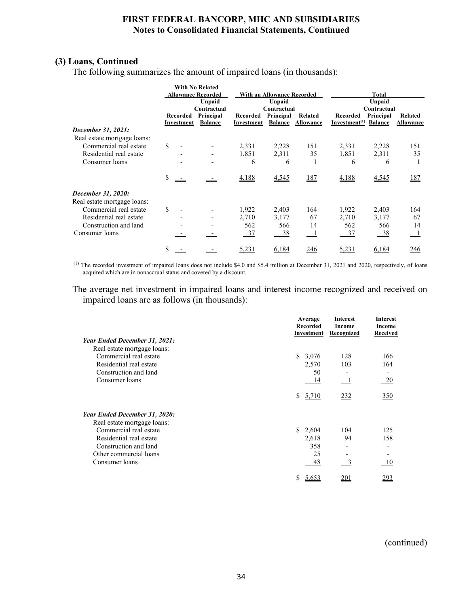# **(3) Loans, Continued**

The following summarizes the amount of impaired loans (in thousands):

|                             |                           | <b>With No Related</b>      |                        |                             |                      |                                       |                             |                             |
|-----------------------------|---------------------------|-----------------------------|------------------------|-----------------------------|----------------------|---------------------------------------|-----------------------------|-----------------------------|
|                             | <b>Allowance Recorded</b> |                             |                        | With an Allowance Recorded  |                      |                                       | Total                       |                             |
|                             |                           | Unpaid                      |                        | Unpaid                      |                      |                                       | Unpaid                      |                             |
|                             |                           | Contractual                 |                        | Contractual                 |                      |                                       | Contractual                 |                             |
|                             | Recorded<br>Investment    | Principal<br><b>Balance</b> | Recorded<br>Investment | Principal<br><b>Balance</b> | Related<br>Allowance | Recorded<br>Investment <sup>(1)</sup> | Principal<br><b>Balance</b> | Related<br><b>Allowance</b> |
| December 31, 2021:          |                           |                             |                        |                             |                      |                                       |                             |                             |
| Real estate mortgage loans: |                           |                             |                        |                             |                      |                                       |                             |                             |
| Commercial real estate      | \$                        |                             | 2,331                  | 2,228                       | 151                  | 2,331                                 | 2,228                       | 151                         |
| Residential real estate     |                           |                             | 1,851                  | 2,311                       | 35                   | 1,851                                 | 2,311                       | 35                          |
| Consumer loans              |                           |                             | 6                      | 6                           | $\blacksquare$       | 6                                     | 6                           | $\perp$                     |
|                             |                           |                             |                        |                             |                      |                                       |                             |                             |
|                             | \$                        |                             | 4,188                  | 4,545                       | 187                  | 4,188                                 | 4,545                       | <u>187</u>                  |
| December 31, 2020:          |                           |                             |                        |                             |                      |                                       |                             |                             |
| Real estate mortgage loans: |                           |                             |                        |                             |                      |                                       |                             |                             |
| Commercial real estate      | \$                        |                             | 1,922                  | 2,403                       | 164                  | 1,922                                 | 2,403                       | 164                         |
| Residential real estate     | $\blacksquare$            |                             | 2,710                  | 3,177                       | 67                   | 2,710                                 | 3,177                       | 67                          |
| Construction and land       |                           |                             | 562                    | 566                         | 14                   | 562                                   | 566                         | 14                          |
| Consumer loans              |                           |                             | <u>37</u>              | 38                          |                      | 37                                    | - 38                        | $\mathbf{\perp}$            |
|                             |                           |                             |                        |                             |                      |                                       |                             |                             |
|                             | \$                        |                             | 5,231                  | 6,184                       | <u>246</u>           | 5,231                                 | 6,184                       | 246                         |

 (1) The recorded investment of impaired loans does not include \$4.0 and \$5.4 million at December 31, 2021 and 2020, respectively, of loans acquired which are in nonaccrual status and covered by a discount.

The average net investment in impaired loans and interest income recognized and received on impaired loans are as follows (in thousands):

|                               | Average<br><b>Recorded</b><br>Investment | Interest<br>Income<br><b>Recognized</b> | Interest<br>Income<br><b>Received</b> |
|-------------------------------|------------------------------------------|-----------------------------------------|---------------------------------------|
| Year Ended December 31, 2021: |                                          |                                         |                                       |
| Real estate mortgage loans:   |                                          |                                         |                                       |
| Commercial real estate        | \$3,076                                  | 128                                     | 166                                   |
| Residential real estate       | 2,570                                    | 103                                     | 164                                   |
| Construction and land         | 50                                       |                                         |                                       |
| Consumer loans                | 14                                       |                                         | 20                                    |
|                               | 5,710<br>S.                              | 232                                     | 350                                   |
| Year Ended December 31, 2020: |                                          |                                         |                                       |
| Real estate mortgage loans:   |                                          |                                         |                                       |
| Commercial real estate        | \$2,604                                  | 104                                     | 125                                   |
| Residential real estate       | 2,618                                    | 94                                      | 158                                   |
| Construction and land         | 358                                      |                                         |                                       |
| Other commercial loans        | 25                                       |                                         |                                       |
| Consumer loans                | 48                                       | 3                                       | 10                                    |
|                               | \$<br>5,653                              | 201                                     | 293                                   |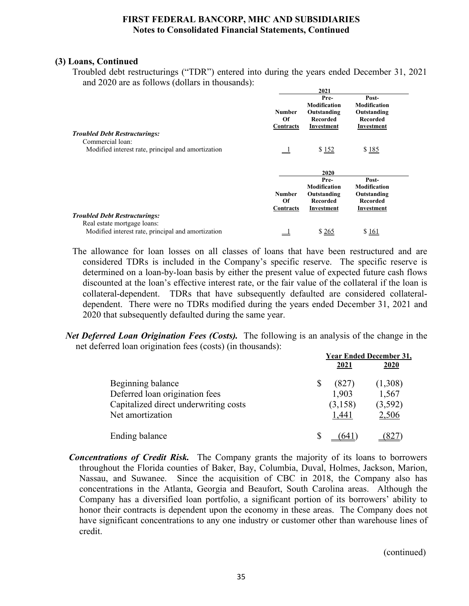# **(3) Loans, Continued**

Troubled debt restructurings ("TDR") entered into during the years ended December 31, 2021 and 2020 are as follows (dollars in thousands):

|                                                    |                                  | 2021                                                                 |                                                                              |  |
|----------------------------------------------------|----------------------------------|----------------------------------------------------------------------|------------------------------------------------------------------------------|--|
|                                                    | Number<br>Of<br>Contracts        | Pre-<br><b>Modification</b><br>Outstanding<br>Recorded<br>Investment | Post-<br><b>Modification</b><br>Outstanding<br><b>Recorded</b><br>Investment |  |
| <b>Troubled Debt Restructurings:</b>               |                                  |                                                                      |                                                                              |  |
| Commercial loan:                                   |                                  |                                                                      |                                                                              |  |
| Modified interest rate, principal and amortization |                                  | \$152                                                                | \$185                                                                        |  |
|                                                    |                                  | 2020                                                                 |                                                                              |  |
|                                                    | <b>Number</b><br>Of<br>Contracts | Pre-<br><b>Modification</b><br>Outstanding<br>Recorded<br>Investment | Post-<br><b>Modification</b><br>Outstanding<br><b>Recorded</b><br>Investment |  |
| <b>Troubled Debt Restructurings:</b>               |                                  |                                                                      |                                                                              |  |
| Real estate mortgage loans:                        |                                  |                                                                      |                                                                              |  |
| Modified interest rate, principal and amortization |                                  | \$265                                                                | \$161                                                                        |  |

- The allowance for loan losses on all classes of loans that have been restructured and are considered TDRs is included in the Company's specific reserve. The specific reserve is determined on a loan-by-loan basis by either the present value of expected future cash flows discounted at the loan's effective interest rate, or the fair value of the collateral if the loan is collateral-dependent. TDRs that have subsequently defaulted are considered collateraldependent. There were no TDRs modified during the years ended December 31, 2021 and 2020 that subsequently defaulted during the same year.
- *Net Deferred Loan Origination Fees (Costs).* The following is an analysis of the change in the net deferred loan origination fees (costs) (in thousands):

|                                       | <b>Year Ended December 31,</b> |             |             |  |
|---------------------------------------|--------------------------------|-------------|-------------|--|
|                                       |                                | <u>2021</u> | <u>2020</u> |  |
| Beginning balance                     |                                | (827)       | (1,308)     |  |
| Deferred loan origination fees        |                                | 1,903       | 1,567       |  |
| Capitalized direct underwriting costs |                                | (3,158)     | (3,592)     |  |
| Net amortization                      |                                | 1,441       | 2,506       |  |
| Ending balance                        |                                |             |             |  |

*Concentrations of Credit Risk.* The Company grants the majority of its loans to borrowers throughout the Florida counties of Baker, Bay, Columbia, Duval, Holmes, Jackson, Marion, Nassau, and Suwanee. Since the acquisition of CBC in 2018, the Company also has concentrations in the Atlanta, Georgia and Beaufort, South Carolina areas. Although the Company has a diversified loan portfolio, a significant portion of its borrowers' ability to honor their contracts is dependent upon the economy in these areas. The Company does not have significant concentrations to any one industry or customer other than warehouse lines of credit.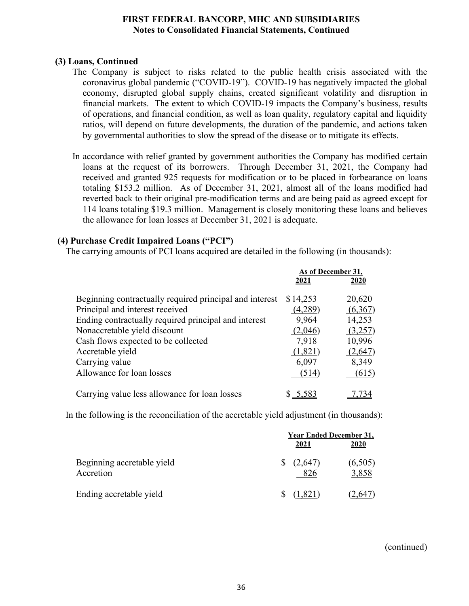# **(3) Loans, Continued**

- The Company is subject to risks related to the public health crisis associated with the coronavirus global pandemic ("COVID-19"). COVID-19 has negatively impacted the global economy, disrupted global supply chains, created significant volatility and disruption in financial markets. The extent to which COVID-19 impacts the Company's business, results of operations, and financial condition, as well as loan quality, regulatory capital and liquidity ratios, will depend on future developments, the duration of the pandemic, and actions taken by governmental authorities to slow the spread of the disease or to mitigate its effects.
- In accordance with relief granted by government authorities the Company has modified certain loans at the request of its borrowers. Through December 31, 2021, the Company had received and granted 925 requests for modification or to be placed in forbearance on loans totaling \$153.2 million. As of December 31, 2021, almost all of the loans modified had reverted back to their original pre-modification terms and are being paid as agreed except for 114 loans totaling \$19.3 million. Management is closely monitoring these loans and believes the allowance for loan losses at December 31, 2021 is adequate.

# **(4) Purchase Credit Impaired Loans ("PCI")**

The carrying amounts of PCI loans acquired are detailed in the following (in thousands):

|                                                         | As of December 31, |         |
|---------------------------------------------------------|--------------------|---------|
|                                                         | 2021               | 2020    |
| Beginning contractually required principal and interest | \$14,253           | 20,620  |
| Principal and interest received                         | (4,289)            | (6,367) |
| Ending contractually required principal and interest    | 9,964              | 14,253  |
| Nonaccretable yield discount                            | (2,046)            | (3,257) |
| Cash flows expected to be collected                     | 7,918              | 10,996  |
| Accretable yield                                        | (1,821)            | (2,647) |
| Carrying value                                          | 6,097              | 8,349   |
| Allowance for loan losses                               | (514)              | (615)   |
| Carrying value less allowance for loan losses           | 5.2                |         |

In the following is the reconciliation of the accretable yield adjustment (in thousands):

|                                         | <b>Year Ended December 31,</b><br>2021 | 2020             |
|-----------------------------------------|----------------------------------------|------------------|
| Beginning accretable yield<br>Accretion | (2,647)<br>826                         | (6,505)<br>3,858 |
| Ending accretable yield                 | (1,821)                                | ∴04              |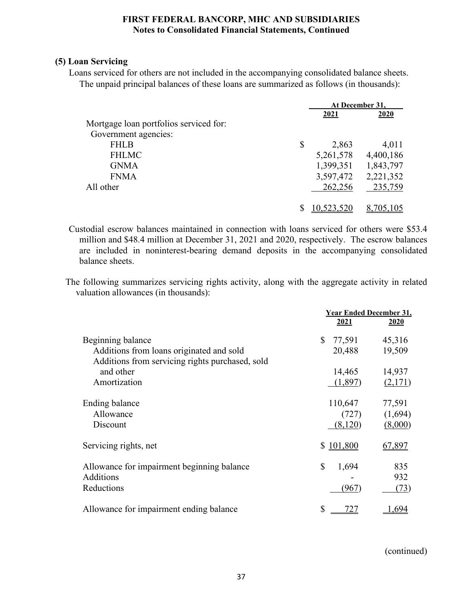# **(5) Loan Servicing**

Loans serviced for others are not included in the accompanying consolidated balance sheets. The unpaid principal balances of these loans are summarized as follows (in thousands):

|                                        | At December 31, |           |  |
|----------------------------------------|-----------------|-----------|--|
|                                        | 2021            | 2020      |  |
| Mortgage loan portfolios serviced for: |                 |           |  |
| Government agencies:                   |                 |           |  |
| <b>FHLB</b>                            | \$<br>2,863     | 4,011     |  |
| <b>FHLMC</b>                           | 5,261,578       | 4,400,186 |  |
| <b>GNMA</b>                            | 1,399,351       | 1,843,797 |  |
| <b>FNMA</b>                            | 3,597,472       | 2,221,352 |  |
| All other                              | 262,256         | 235,759   |  |
|                                        | 10,523,520      | 8,705,105 |  |

Custodial escrow balances maintained in connection with loans serviced for others were \$53.4 million and \$48.4 million at December 31, 2021 and 2020, respectively. The escrow balances are included in noninterest-bearing demand deposits in the accompanying consolidated balance sheets.

The following summarizes servicing rights activity, along with the aggregate activity in related valuation allowances (in thousands):

|                                                 | <b>Year Ended December 31,</b> |         |  |
|-------------------------------------------------|--------------------------------|---------|--|
|                                                 | <u>2021</u>                    | 2020    |  |
| Beginning balance                               | \$<br>77,591                   | 45,316  |  |
| Additions from loans originated and sold        | 20,488                         | 19,509  |  |
| Additions from servicing rights purchased, sold |                                |         |  |
| and other                                       | 14,465                         | 14,937  |  |
| Amortization                                    | (1,897)                        | (2,171) |  |
| Ending balance                                  | 110,647                        | 77,591  |  |
| Allowance                                       | (727)                          | (1,694) |  |
| Discount                                        | (8,120)                        | (8,000) |  |
| Servicing rights, net                           | \$101,800                      | 67,897  |  |
| Allowance for impairment beginning balance      | \$<br>1,694                    | 835     |  |
| Additions                                       |                                | 932     |  |
| Reductions                                      | (967)                          | (73)    |  |
| Allowance for impairment ending balance         | \$                             |         |  |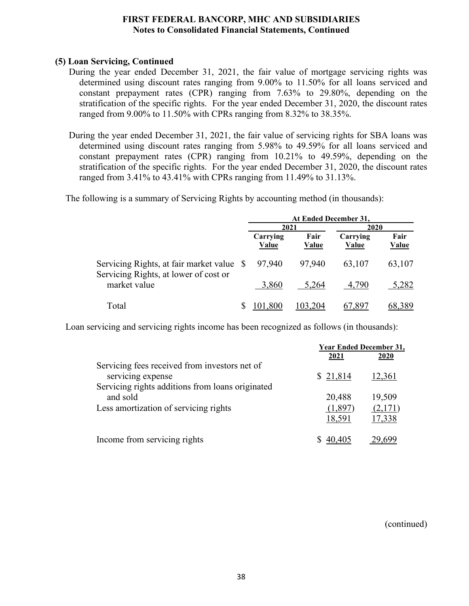# **(5) Loan Servicing, Continued**

- During the year ended December 31, 2021, the fair value of mortgage servicing rights was determined using discount rates ranging from 9.00% to 11.50% for all loans serviced and constant prepayment rates (CPR) ranging from 7.63% to 29.80%, depending on the stratification of the specific rights. For the year ended December 31, 2020, the discount rates ranged from 9.00% to 11.50% with CPRs ranging from 8.32% to 38.35%.
- During the year ended December 31, 2021, the fair value of servicing rights for SBA loans was determined using discount rates ranging from 5.98% to 49.59% for all loans serviced and constant prepayment rates (CPR) ranging from 10.21% to 49.59%, depending on the stratification of the specific rights. For the year ended December 31, 2020, the discount rates ranged from 3.41% to 43.41% with CPRs ranging from 11.49% to 31.13%.

The following is a summary of Servicing Rights by accounting method (in thousands):

|                                                                                    |  | At Ended December 31,    |                      |                          |                      |  |      |  |
|------------------------------------------------------------------------------------|--|--------------------------|----------------------|--------------------------|----------------------|--|------|--|
|                                                                                    |  | 2021                     |                      |                          |                      |  | 2020 |  |
|                                                                                    |  | Carrying<br><b>Value</b> | Fair<br><b>Value</b> | Carrying<br><b>Value</b> | Fair<br><b>Value</b> |  |      |  |
| Servicing Rights, at fair market value \$<br>Servicing Rights, at lower of cost or |  | 97,940                   | 97,940               | 63,107                   | 63,107               |  |      |  |
| market value                                                                       |  | 3,860                    | 5,264                | 4,790                    | 5,282                |  |      |  |
| Total                                                                              |  | 101,800                  | 103.204              | 67.897                   | 68,389               |  |      |  |

Loan servicing and servicing rights income has been recognized as follows (in thousands):

|                                                                    |          | <b>Year Ended December 31,</b> |
|--------------------------------------------------------------------|----------|--------------------------------|
|                                                                    | 2021     | <b>2020</b>                    |
| Servicing fees received from investors net of<br>servicing expense | \$21,814 | 12,361                         |
| Servicing rights additions from loans originated                   |          |                                |
| and sold                                                           | 20,488   | 19,509                         |
| Less amortization of servicing rights                              | (1,897)  | (2,171)                        |
|                                                                    | 18,591   | 17,338                         |
| Income from servicing rights                                       |          |                                |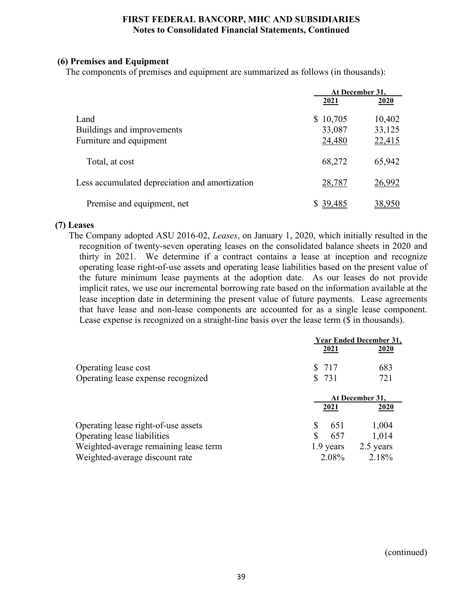# **(6) Premises and Equipment**

The components of premises and equipment are summarized as follows (in thousands):

|                                                |              | At December 31. |  |  |
|------------------------------------------------|--------------|-----------------|--|--|
|                                                | 2021         | 2020            |  |  |
| Land                                           | \$10,705     | 10,402          |  |  |
| Buildings and improvements                     | 33,087       | 33,125          |  |  |
| Furniture and equipment                        | 24,480       | 22,415          |  |  |
| Total, at cost                                 | 68,272       | 65,942          |  |  |
| Less accumulated depreciation and amortization | 28,787       | 26,992          |  |  |
| Premise and equipment, net                     | 39,485<br>S. |                 |  |  |

# **(7) Leases**

The Company adopted ASU 2016-02, *Leases*, on January 1, 2020, which initially resulted in the recognition of twenty-seven operating leases on the consolidated balance sheets in 2020 and thirty in 2021. We determine if a contract contains a lease at inception and recognize operating lease right-of-use assets and operating lease liabilities based on the present value of the future minimum lease payments at the adoption date. As our leases do not provide implicit rates, we use our incremental borrowing rate based on the information available at the lease inception date in determining the present value of future payments. Lease agreements that have lease and non-lease components are accounted for as a single lease component. Lease expense is recognized on a straight-line basis over the lease term (\$ in thousands).

|                                       | 2021      | <b>Year Ended December 31,</b><br>2020 |
|---------------------------------------|-----------|----------------------------------------|
| Operating lease cost                  | \$ 717    | 683                                    |
| Operating lease expense recognized    | \$731     | 721                                    |
|                                       |           | At December 31,                        |
|                                       | 2021      | 2020                                   |
| Operating lease right-of-use assets   | 651       | 1,004                                  |
| Operating lease liabilities           | 657       | 1,014                                  |
| Weighted-average remaining lease term | 1.9 years | 2.5 years                              |
| Weighted-average discount rate        | 2.08%     | 2.18%                                  |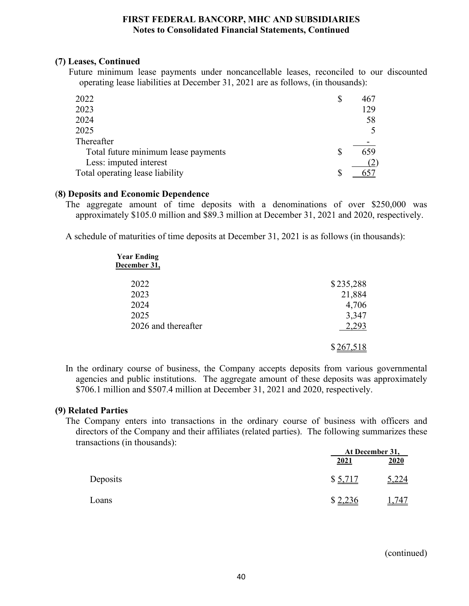# **(7) Leases, Continued**

Future minimum lease payments under noncancellable leases, reconciled to our discounted operating lease liabilities at December 31, 2021 are as follows, (in thousands):

| 2022                                | S | 467 |
|-------------------------------------|---|-----|
| 2023                                |   | 129 |
| 2024                                |   | 58  |
| 2025                                |   |     |
| Thereafter                          |   |     |
| Total future minimum lease payments |   | 659 |
| Less: imputed interest              |   |     |
| Total operating lease liability     |   |     |

#### (**8) Deposits and Economic Dependence**

The aggregate amount of time deposits with a denominations of over \$250,000 was approximately \$105.0 million and \$89.3 million at December 31, 2021 and 2020, respectively.

A schedule of maturities of time deposits at December 31, 2021 is as follows (in thousands):

| <b>Year Ending</b><br>December 31, |           |
|------------------------------------|-----------|
| 2022                               | \$235,288 |
| 2023                               | 21,884    |
| 2024                               | 4,706     |
| 2025                               | 3,347     |
| 2026 and thereafter                | 2,293     |
|                                    |           |

In the ordinary course of business, the Company accepts deposits from various governmental agencies and public institutions. The aggregate amount of these deposits was approximately \$706.1 million and \$507.4 million at December 31, 2021 and 2020, respectively.

# **(9) Related Parties**

The Company enters into transactions in the ordinary course of business with officers and directors of the Company and their affiliates (related parties). The following summarizes these transactions (in thousands):

|          |         | At December 31, |
|----------|---------|-----------------|
|          | 2021    | 2020            |
| Deposits | \$5,717 | 5,224           |
| Loans    | \$2,236 | ,747            |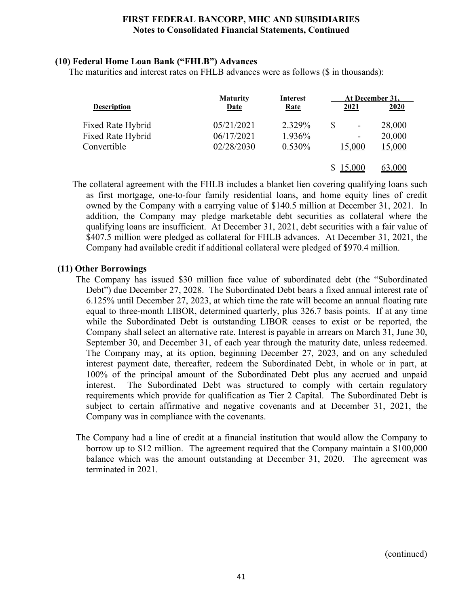# **(10) Federal Home Loan Bank ("FHLB") Advances**

The maturities and interest rates on FHLB advances were as follows (\$ in thousands):

|                    | <b>Maturity</b> | <b>Interest</b> | At December 31,                |        |
|--------------------|-----------------|-----------------|--------------------------------|--------|
| <b>Description</b> | <b>Date</b>     | <b>Rate</b>     | 2021                           | 2020   |
| Fixed Rate Hybrid  | 05/21/2021      | 2.329%          | \$<br>$\overline{\phantom{a}}$ | 28,000 |
| Fixed Rate Hybrid  | 06/17/2021      | 1.936%          | -                              | 20,000 |
| Convertible        | 02/28/2030      | 0.530%          | 15,000                         | 15,000 |
|                    |                 |                 | 15,000                         | 63,000 |

The collateral agreement with the FHLB includes a blanket lien covering qualifying loans such as first mortgage, one-to-four family residential loans, and home equity lines of credit owned by the Company with a carrying value of \$140.5 million at December 31, 2021. In addition, the Company may pledge marketable debt securities as collateral where the qualifying loans are insufficient. At December 31, 2021, debt securities with a fair value of \$407.5 million were pledged as collateral for FHLB advances. At December 31, 2021, the Company had available credit if additional collateral were pledged of \$970.4 million.

# **(11) Other Borrowings**

- The Company has issued \$30 million face value of subordinated debt (the "Subordinated Debt") due December 27, 2028. The Subordinated Debt bears a fixed annual interest rate of 6.125% until December 27, 2023, at which time the rate will become an annual floating rate equal to three-month LIBOR, determined quarterly, plus 326.7 basis points. If at any time while the Subordinated Debt is outstanding LIBOR ceases to exist or be reported, the Company shall select an alternative rate. Interest is payable in arrears on March 31, June 30, September 30, and December 31, of each year through the maturity date, unless redeemed. The Company may, at its option, beginning December 27, 2023, and on any scheduled interest payment date, thereafter, redeem the Subordinated Debt, in whole or in part, at 100% of the principal amount of the Subordinated Debt plus any accrued and unpaid interest. The Subordinated Debt was structured to comply with certain regulatory requirements which provide for qualification as Tier 2 Capital. The Subordinated Debt is subject to certain affirmative and negative covenants and at December 31, 2021, the Company was in compliance with the covenants.
- The Company had a line of credit at a financial institution that would allow the Company to borrow up to \$12 million. The agreement required that the Company maintain a \$100,000 balance which was the amount outstanding at December 31, 2020. The agreement was terminated in 2021.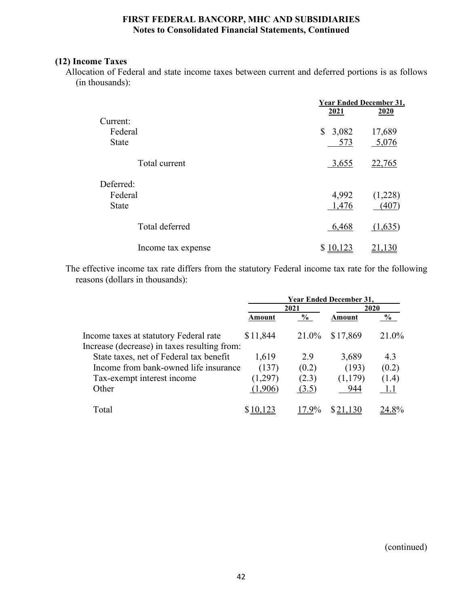# **(12) Income Taxes**

Allocation of Federal and state income taxes between current and deferred portions is as follows (in thousands):

|                    | <b>Year Ended December 31,</b> |         |
|--------------------|--------------------------------|---------|
|                    | 2021                           | 2020    |
| Current:           |                                |         |
| Federal            | \$3,082                        | 17,689  |
| <b>State</b>       | 573                            | 5,076   |
| Total current      | 3,655                          | 22,765  |
| Deferred:          |                                |         |
| Federal            | 4,992                          | (1,228) |
| <b>State</b>       | 1,476                          | (407)   |
| Total deferred     | 6,468                          | (1,635) |
| Income tax expense | \$10,123                       | 21,130  |

The effective income tax rate differs from the statutory Federal income tax rate for the following reasons (dollars in thousands):

|                                              | <b>Year Ended December 31,</b> |               |          |       |  |
|----------------------------------------------|--------------------------------|---------------|----------|-------|--|
|                                              |                                | 2021          |          | 2020  |  |
|                                              | Amount                         | $\frac{0}{0}$ | Amount   | $\%$  |  |
| Income taxes at statutory Federal rate       | \$11,844                       | 21.0%         | \$17,869 | 21.0% |  |
| Increase (decrease) in taxes resulting from: |                                |               |          |       |  |
| State taxes, net of Federal tax benefit      | 1,619                          | 2.9           | 3,689    | 4.3   |  |
| Income from bank-owned life insurance        | (137)                          | (0.2)         | (193)    | (0.2) |  |
| Tax-exempt interest income                   | (1,297)                        | (2.3)         | (1,179)  | (1.4) |  |
| Other                                        | (1,906)                        | (3.5)         | 944      |       |  |
| Total                                        |                                | 17.9%         |          | $8\%$ |  |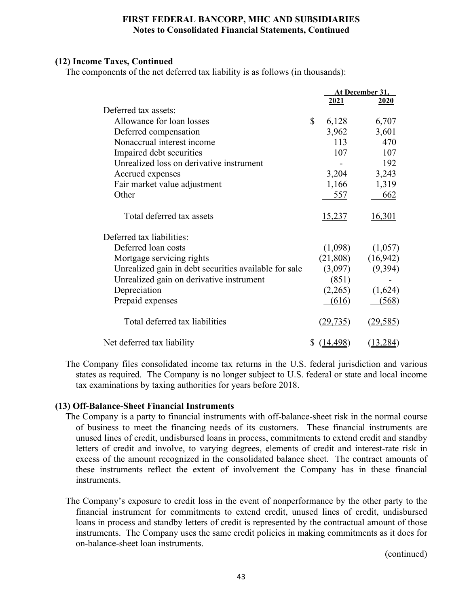# **(12) Income Taxes, Continued**

The components of the net deferred tax liability is as follows (in thousands):

|                                                       |              |           | At December 31, |
|-------------------------------------------------------|--------------|-----------|-----------------|
|                                                       |              | 2021      | 2020            |
| Deferred tax assets:                                  |              |           |                 |
| Allowance for loan losses                             | $\mathbb{S}$ | 6,128     | 6,707           |
| Deferred compensation                                 |              | 3,962     | 3,601           |
| Nonaccrual interest income                            |              | 113       | 470             |
| Impaired debt securities                              |              | 107       | 107             |
| Unrealized loss on derivative instrument              |              |           | 192             |
| Accrued expenses                                      |              | 3,204     | 3,243           |
| Fair market value adjustment                          |              | 1,166     | 1,319           |
| Other                                                 |              | 557       | 662             |
| Total deferred tax assets                             |              | 15,237    | 16,301          |
| Deferred tax liabilities:                             |              |           |                 |
| Deferred loan costs                                   |              | (1,098)   | (1,057)         |
| Mortgage servicing rights                             |              | (21,808)  | (16,942)        |
| Unrealized gain in debt securities available for sale |              | (3,097)   | (9, 394)        |
| Unrealized gain on derivative instrument              |              | (851)     |                 |
| Depreciation                                          |              | (2,265)   | (1,624)         |
| Prepaid expenses                                      |              | (616)     | (568)           |
| Total deferred tax liabilities                        |              | (29, 735) | (29, 585)       |
| Net deferred tax liability                            | S.           | (14, 498) | (13, 284)       |

The Company files consolidated income tax returns in the U.S. federal jurisdiction and various states as required. The Company is no longer subject to U.S. federal or state and local income tax examinations by taxing authorities for years before 2018.

# **(13) Off-Balance-Sheet Financial Instruments**

- The Company is a party to financial instruments with off-balance-sheet risk in the normal course of business to meet the financing needs of its customers. These financial instruments are unused lines of credit, undisbursed loans in process, commitments to extend credit and standby letters of credit and involve, to varying degrees, elements of credit and interest-rate risk in excess of the amount recognized in the consolidated balance sheet. The contract amounts of these instruments reflect the extent of involvement the Company has in these financial instruments.
- The Company's exposure to credit loss in the event of nonperformance by the other party to the financial instrument for commitments to extend credit, unused lines of credit, undisbursed loans in process and standby letters of credit is represented by the contractual amount of those instruments. The Company uses the same credit policies in making commitments as it does for on-balance-sheet loan instruments.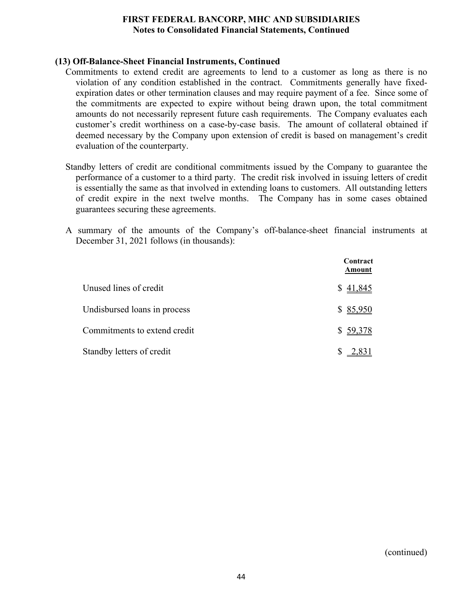# **(13) Off-Balance-Sheet Financial Instruments, Continued**

- Commitments to extend credit are agreements to lend to a customer as long as there is no violation of any condition established in the contract. Commitments generally have fixedexpiration dates or other termination clauses and may require payment of a fee. Since some of the commitments are expected to expire without being drawn upon, the total commitment amounts do not necessarily represent future cash requirements. The Company evaluates each customer's credit worthiness on a case-by-case basis. The amount of collateral obtained if deemed necessary by the Company upon extension of credit is based on management's credit evaluation of the counterparty.
- Standby letters of credit are conditional commitments issued by the Company to guarantee the performance of a customer to a third party. The credit risk involved in issuing letters of credit is essentially the same as that involved in extending loans to customers. All outstanding letters of credit expire in the next twelve months. The Company has in some cases obtained guarantees securing these agreements.
- A summary of the amounts of the Company's off-balance-sheet financial instruments at December 31, 2021 follows (in thousands):

|                              | Contract<br>Amount |
|------------------------------|--------------------|
| Unused lines of credit       | \$41,845           |
| Undisbursed loans in process | \$85,950           |
| Commitments to extend credit | \$59,378           |
| Standby letters of credit    |                    |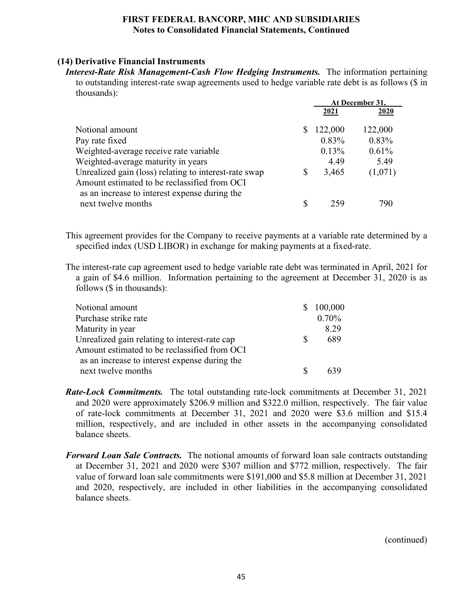# **(14) Derivative Financial Instruments**

*Interest-Rate Risk Management-Cash Flow Hedging Instruments.* The information pertaining to outstanding interest-rate swap agreements used to hedge variable rate debt is as follows (\$ in thousands):

|                                                                                                                                                        | At December 31. |         |  |
|--------------------------------------------------------------------------------------------------------------------------------------------------------|-----------------|---------|--|
|                                                                                                                                                        | 2021            | 2020    |  |
| Notional amount                                                                                                                                        | 122,000         | 122,000 |  |
| Pay rate fixed                                                                                                                                         | $0.83\%$        | 0.83%   |  |
| Weighted-average receive rate variable                                                                                                                 | 0.13%           | 0.61%   |  |
| Weighted-average maturity in years                                                                                                                     | 4.49            | 5.49    |  |
| Unrealized gain (loss) relating to interest-rate swap<br>Amount estimated to be reclassified from OCI<br>as an increase to interest expense during the | \$<br>3,465     | (1,071) |  |
| next twelve months                                                                                                                                     | 259             | 79C     |  |

This agreement provides for the Company to receive payments at a variable rate determined by a specified index (USD LIBOR) in exchange for making payments at a fixed-rate.

The interest-rate cap agreement used to hedge variable rate debt was terminated in April, 2021 for a gain of \$4.6 million. Information pertaining to the agreement at December 31, 2020 is as follows (\$ in thousands):

| Notional amount                               | S. | 100,000 |
|-----------------------------------------------|----|---------|
| Purchase strike rate                          |    | 0.70%   |
| Maturity in year                              |    | 8.29    |
| Unrealized gain relating to interest-rate cap | S. | 689     |
| Amount estimated to be reclassified from OCI  |    |         |
| as an increase to interest expense during the |    |         |
| next twelve months                            |    |         |

- *Rate-Lock Commitments.* The total outstanding rate-lock commitments at December 31, 2021 and 2020 were approximately \$206.9 million and \$322.0 million, respectively. The fair value of rate-lock commitments at December 31, 2021 and 2020 were \$3.6 million and \$15.4 million, respectively, and are included in other assets in the accompanying consolidated balance sheets.
- *Forward Loan Sale Contracts.* The notional amounts of forward loan sale contracts outstanding at December 31, 2021 and 2020 were \$307 million and \$772 million, respectively. The fair value of forward loan sale commitments were \$191,000 and \$5.8 million at December 31, 2021 and 2020, respectively, are included in other liabilities in the accompanying consolidated balance sheets.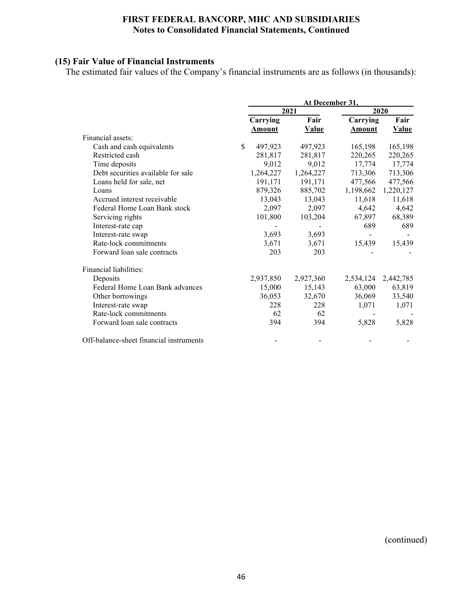# **(15) Fair Value of Financial Instruments**

The estimated fair values of the Company's financial instruments are as follows (in thousands):

|                                         | At December 31, |              |               |              |  |
|-----------------------------------------|-----------------|--------------|---------------|--------------|--|
|                                         |                 | 2021         |               | 2020         |  |
|                                         | Carrying        | Fair         | Carrying      | Fair         |  |
|                                         | Amount          | <b>Value</b> | <b>Amount</b> | <b>Value</b> |  |
| Financial assets:                       |                 |              |               |              |  |
| Cash and cash equivalents               | \$<br>497,923   | 497,923      | 165,198       | 165,198      |  |
| Restricted cash                         | 281,817         | 281,817      | 220,265       | 220,265      |  |
| Time deposits                           | 9,012           | 9,012        | 17,774        | 17,774       |  |
| Debt securities available for sale      | 1,264,227       | 1,264,227    | 713,306       | 713,306      |  |
| Loans held for sale, net                | 191,171         | 191,171      | 477,566       | 477,566      |  |
| Loans                                   | 879,326         | 885,702      | 1,198,662     | 1,220,127    |  |
| Accrued interest receivable             | 13,043          | 13,043       | 11,618        | 11,618       |  |
| Federal Home Loan Bank stock            | 2,097           | 2,097        | 4,642         | 4,642        |  |
| Servicing rights                        | 101,800         | 103,204      | 67,897        | 68,389       |  |
| Interest-rate cap                       |                 |              | 689           | 689          |  |
| Interest-rate swap                      | 3,693           | 3,693        |               |              |  |
| Rate-lock commitments                   | 3,671           | 3,671        | 15,439        | 15,439       |  |
| Forward loan sale contracts             | 203             | 203          |               |              |  |
| Financial liabilities:                  |                 |              |               |              |  |
| Deposits                                | 2,937,850       | 2,927,360    | 2,534,124     | 2,442,785    |  |
| Federal Home Loan Bank advances         | 15,000          | 15,143       | 63,000        | 63,819       |  |
| Other borrowings                        | 36,053          | 32,670       | 36,069        | 33,540       |  |
| Interest-rate swap                      | 228             | 228          | 1,071         | 1,071        |  |
| Rate-lock commitments                   | 62              | 62           |               |              |  |
| Forward loan sale contracts             | 394             | 394          | 5,828         | 5,828        |  |
| Off-balance-sheet financial instruments |                 |              |               |              |  |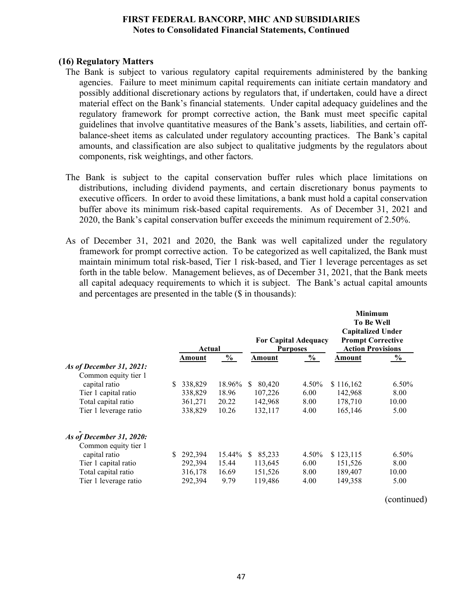#### **(16) Regulatory Matters**

- The Bank is subject to various regulatory capital requirements administered by the banking agencies. Failure to meet minimum capital requirements can initiate certain mandatory and possibly additional discretionary actions by regulators that, if undertaken, could have a direct material effect on the Bank's financial statements. Under capital adequacy guidelines and the regulatory framework for prompt corrective action, the Bank must meet specific capital guidelines that involve quantitative measures of the Bank's assets, liabilities, and certain offbalance-sheet items as calculated under regulatory accounting practices. The Bank's capital amounts, and classification are also subject to qualitative judgments by the regulators about components, risk weightings, and other factors.
- The Bank is subject to the capital conservation buffer rules which place limitations on distributions, including dividend payments, and certain discretionary bonus payments to executive officers. In order to avoid these limitations, a bank must hold a capital conservation buffer above its minimum risk-based capital requirements. As of December 31, 2021 and 2020, the Bank's capital conservation buffer exceeds the minimum requirement of 2.50%.
- As of December 31, 2021 and 2020, the Bank was well capitalized under the regulatory framework for prompt corrective action. To be categorized as well capitalized, the Bank must maintain minimum total risk-based, Tier 1 risk-based, and Tier 1 leverage percentages as set forth in the table below. Management believes, as of December 31, 2021, that the Bank meets all capital adequacy requirements to which it is subject. The Bank's actual capital amounts and percentages are presented in the table (\$ in thousands):

|                                       |     | Actual  |               |               | <b>For Capital Adequacy</b><br><b>Purposes</b> | <b>Minimum</b><br>To Be Well<br><b>Capitalized Under</b><br><b>Prompt Corrective</b><br><b>Action Provisions</b> |          |  |
|---------------------------------------|-----|---------|---------------|---------------|------------------------------------------------|------------------------------------------------------------------------------------------------------------------|----------|--|
|                                       |     | Amount  | $\frac{0}{0}$ | Amount        | $\frac{0}{0}$                                  | Amount                                                                                                           | $\%$     |  |
| As of December 31, 2021:              |     |         |               |               |                                                |                                                                                                                  |          |  |
| Common equity tier 1<br>capital ratio | S   | 338,829 | 18.96%        | 80,420<br>S.  | 4.50%                                          | \$116,162                                                                                                        | $6.50\%$ |  |
| Tier 1 capital ratio                  |     | 338,829 | 18.96         | 107,226       | 6.00                                           | 142,968                                                                                                          | 8.00     |  |
| Total capital ratio                   |     | 361,271 | 20.22         | 142,968       | 8.00                                           | 178,710                                                                                                          | 10.00    |  |
| Tier 1 leverage ratio                 |     | 338,829 | 10.26         | 132,117       | 4.00                                           | 165,146                                                                                                          | 5.00     |  |
| As of December 31, 2020:              |     |         |               |               |                                                |                                                                                                                  |          |  |
| Common equity tier 1<br>capital ratio | \$. | 292,394 | 15.44%        | 85,233<br>\$. | 4.50%                                          | \$123,115                                                                                                        | $6.50\%$ |  |
| Tier 1 capital ratio                  |     | 292,394 | 15.44         | 113,645       | 6.00                                           | 151,526                                                                                                          | 8.00     |  |
| Total capital ratio                   |     | 316,178 | 16.69         | 151,526       | 8.00                                           | 189,407                                                                                                          | 10.00    |  |
| Tier 1 leverage ratio                 |     | 292,394 | 9.79          | 119,486       | 4.00                                           | 149,358                                                                                                          | 5.00     |  |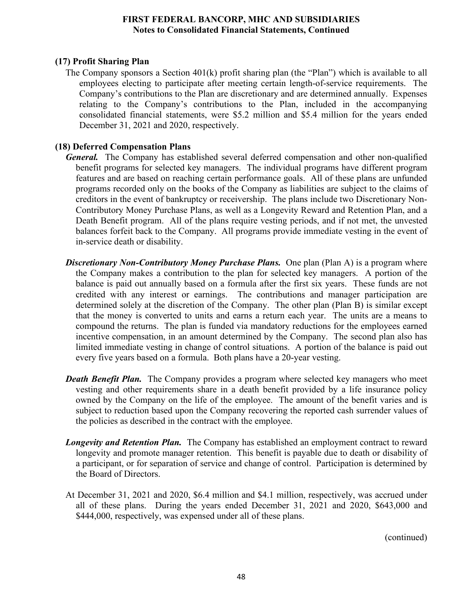# **(17) Profit Sharing Plan**

The Company sponsors a Section  $401(k)$  profit sharing plan (the "Plan") which is available to all employees electing to participate after meeting certain length-of-service requirements. The Company's contributions to the Plan are discretionary and are determined annually. Expenses relating to the Company's contributions to the Plan, included in the accompanying consolidated financial statements, were \$5.2 million and \$5.4 million for the years ended December 31, 2021 and 2020, respectively.

# **(18) Deferred Compensation Plans**

- *General.* The Company has established several deferred compensation and other non-qualified benefit programs for selected key managers. The individual programs have different program features and are based on reaching certain performance goals. All of these plans are unfunded programs recorded only on the books of the Company as liabilities are subject to the claims of creditors in the event of bankruptcy or receivership. The plans include two Discretionary Non-Contributory Money Purchase Plans, as well as a Longevity Reward and Retention Plan, and a Death Benefit program. All of the plans require vesting periods, and if not met, the unvested balances forfeit back to the Company. All programs provide immediate vesting in the event of in-service death or disability.
- *Discretionary Non-Contributory Money Purchase Plans.* One plan (Plan A) is a program where the Company makes a contribution to the plan for selected key managers. A portion of the balance is paid out annually based on a formula after the first six years. These funds are not credited with any interest or earnings. The contributions and manager participation are determined solely at the discretion of the Company. The other plan (Plan B) is similar except that the money is converted to units and earns a return each year. The units are a means to compound the returns. The plan is funded via mandatory reductions for the employees earned incentive compensation, in an amount determined by the Company. The second plan also has limited immediate vesting in change of control situations. A portion of the balance is paid out every five years based on a formula. Both plans have a 20-year vesting.
- *Death Benefit Plan.* The Company provides a program where selected key managers who meet vesting and other requirements share in a death benefit provided by a life insurance policy owned by the Company on the life of the employee. The amount of the benefit varies and is subject to reduction based upon the Company recovering the reported cash surrender values of the policies as described in the contract with the employee.
- *Longevity and Retention Plan.* The Company has established an employment contract to reward longevity and promote manager retention. This benefit is payable due to death or disability of a participant, or for separation of service and change of control. Participation is determined by the Board of Directors.
- At December 31, 2021 and 2020, \$6.4 million and \$4.1 million, respectively, was accrued under all of these plans. During the years ended December 31, 2021 and 2020, \$643,000 and \$444,000, respectively, was expensed under all of these plans.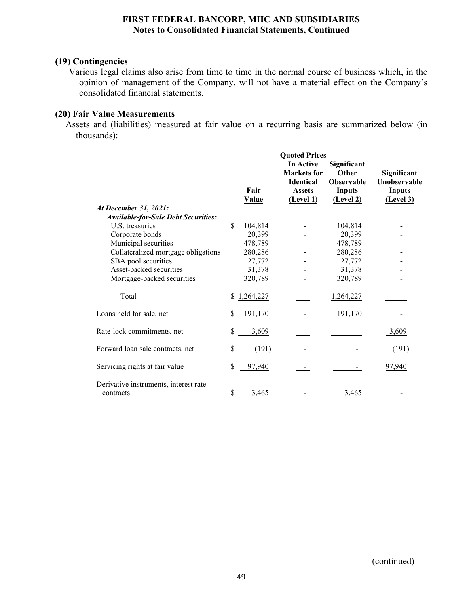# **(19) Contingencies**

Various legal claims also arise from time to time in the normal course of business which, in the opinion of management of the Company, will not have a material effect on the Company's consolidated financial statements.

# **(20) Fair Value Measurements**

Assets and (liabilities) measured at fair value on a recurring basis are summarized below (in thousands):

|                                                    |    |              | <b>Quoted Prices</b>                                                 |                                                            |                                              |
|----------------------------------------------------|----|--------------|----------------------------------------------------------------------|------------------------------------------------------------|----------------------------------------------|
|                                                    |    | Fair         | In Active<br><b>Markets</b> for<br><b>Identical</b><br><b>Assets</b> | Significant<br>Other<br><b>Observable</b><br><b>Inputs</b> | Significant<br>Unobservable<br><b>Inputs</b> |
| At December 31, 2021:                              |    | <b>Value</b> | (Level 1)                                                            | (Level 2)                                                  | (Level 3)                                    |
| <b>Available-for-Sale Debt Securities:</b>         |    |              |                                                                      |                                                            |                                              |
| U.S. treasuries                                    | \$ | 104,814      |                                                                      | 104,814                                                    |                                              |
| Corporate bonds                                    |    | 20,399       |                                                                      | 20,399                                                     |                                              |
| Municipal securities                               |    | 478,789      |                                                                      | 478,789                                                    |                                              |
| Collateralized mortgage obligations                |    | 280,286      |                                                                      | 280,286                                                    |                                              |
| SBA pool securities                                |    | 27,772       |                                                                      | 27,772                                                     |                                              |
| Asset-backed securities                            |    | 31,378       |                                                                      | 31,378                                                     |                                              |
| Mortgage-backed securities                         |    | 320,789      |                                                                      | 320,789                                                    |                                              |
| Total                                              |    | \$1,264,227  |                                                                      | 1,264,227                                                  |                                              |
| Loans held for sale, net                           |    | \$191,170    |                                                                      | 191,170                                                    |                                              |
| Rate-lock commitments, net                         | S. | 3,609        |                                                                      |                                                            | 3,609                                        |
| Forward loan sale contracts, net                   |    | (191)        |                                                                      |                                                            | (191)                                        |
| Servicing rights at fair value                     | \$ | 97,940       |                                                                      |                                                            | 97,940                                       |
| Derivative instruments, interest rate<br>contracts | \$ | 3,465        |                                                                      | 3,465                                                      |                                              |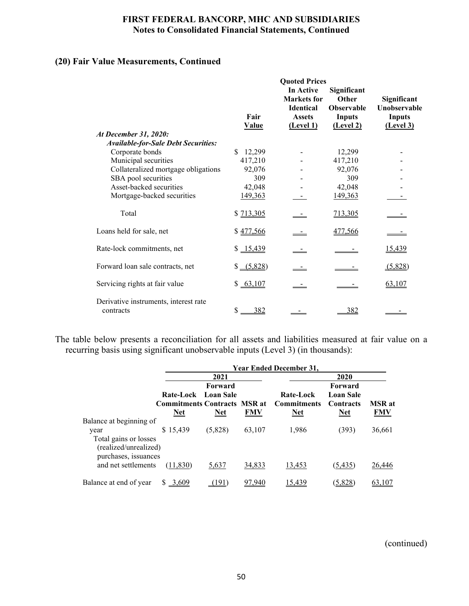# **(20) Fair Value Measurements, Continued**

|                                                    | Fair<br><b>Value</b> | <b>Quoted Prices</b><br>In Active<br><b>Markets</b> for<br>Identical<br><b>Assets</b><br>(Level 1) | Significant<br>Other<br><b>Observable</b><br><b>Inputs</b><br>(Level 2) | Significant<br>Unobservable<br><b>Inputs</b><br>(Level 3) |
|----------------------------------------------------|----------------------|----------------------------------------------------------------------------------------------------|-------------------------------------------------------------------------|-----------------------------------------------------------|
| At December 31, 2020:                              |                      |                                                                                                    |                                                                         |                                                           |
| <b>Available-for-Sale Debt Securities:</b>         |                      |                                                                                                    |                                                                         |                                                           |
| Corporate bonds                                    | 12,299<br>S.         |                                                                                                    | 12,299                                                                  |                                                           |
| Municipal securities                               | 417,210              |                                                                                                    | 417,210                                                                 |                                                           |
| Collateralized mortgage obligations                | 92,076               |                                                                                                    | 92,076                                                                  |                                                           |
| SBA pool securities                                | 309                  |                                                                                                    | 309                                                                     |                                                           |
| Asset-backed securities                            | 42,048               |                                                                                                    | 42,048                                                                  |                                                           |
| Mortgage-backed securities                         | 149,363              |                                                                                                    | 149,363                                                                 |                                                           |
| Total                                              | \$713,305            |                                                                                                    | 713,305                                                                 |                                                           |
| Loans held for sale, net                           | \$477,566            |                                                                                                    | 477,566                                                                 |                                                           |
| Rate-lock commitments, net                         | \$15,439             |                                                                                                    |                                                                         | 15,439                                                    |
| Forward loan sale contracts, net                   | $$-(5,828)$          |                                                                                                    |                                                                         | (5,828)                                                   |
| Servicing rights at fair value                     | \$63,107             |                                                                                                    |                                                                         | 63,107                                                    |
| Derivative instruments, interest rate<br>contracts | 382<br>\$            |                                                                                                    | 382                                                                     |                                                           |

The table below presents a reconciliation for all assets and liabilities measured at fair value on a recurring basis using significant unobservable inputs (Level 3) (in thousands):

|                                                                                | <b>Year Ended December 31,</b>                                           |                       |               |                                               |                                                        |                             |  |  |
|--------------------------------------------------------------------------------|--------------------------------------------------------------------------|-----------------------|---------------|-----------------------------------------------|--------------------------------------------------------|-----------------------------|--|--|
|                                                                                |                                                                          | 2021                  |               |                                               |                                                        |                             |  |  |
|                                                                                | Rate-Lock Loan Sale<br><b>Commitments Contracts MSR at</b><br><b>Net</b> | Forward<br><b>Net</b> | <b>FMV</b>    | Rate-Lock<br><b>Commitments</b><br><b>Net</b> | Forward<br><b>Loan Sale</b><br>Contracts<br><b>Net</b> | <b>MSR</b> at<br><b>FMV</b> |  |  |
| Balance at beginning of                                                        |                                                                          |                       |               |                                               |                                                        |                             |  |  |
| year<br>Total gains or losses<br>(realized/unrealized)<br>purchases, issuances | \$15,439                                                                 | (5,828)               | 63,107        | 1,986                                         | (393)                                                  | 36,661                      |  |  |
| and net settlements                                                            | (11,830)                                                                 | 5,637                 | <u>34,833</u> | 13,453                                        | (5, 435)                                               | 26,446                      |  |  |
| Balance at end of year                                                         | 3,609                                                                    | .91                   | 97.940        | .439                                          | <u>(5,828)</u>                                         | 63,107                      |  |  |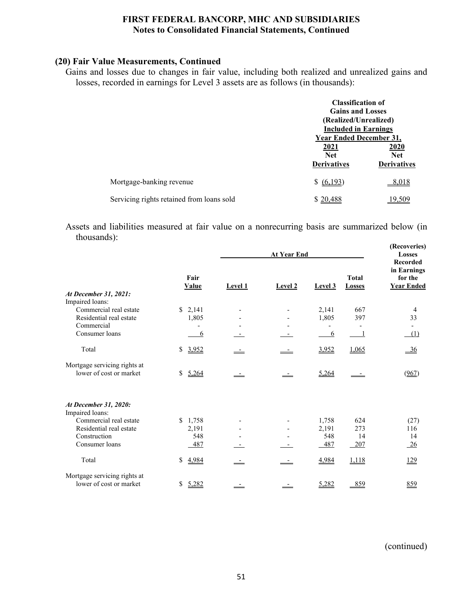# **(20) Fair Value Measurements, Continued**

Gains and losses due to changes in fair value, including both realized and unrealized gains and losses, recorded in earnings for Level 3 assets are as follows (in thousands):

|                                           | <b>Classification of</b><br><b>Gains and Losses</b>           |                    |
|-------------------------------------------|---------------------------------------------------------------|--------------------|
|                                           | (Realized/Unrealized)                                         |                    |
|                                           | <b>Included in Earnings</b><br><b>Year Ended December 31,</b> |                    |
|                                           | 2021<br><b>Net</b>                                            | 2020<br><b>Net</b> |
|                                           | <b>Derivatives</b>                                            | <b>Derivatives</b> |
| Mortgage-banking revenue                  | \$ (6,193)                                                    | 8,018              |
| Servicing rights retained from loans sold | \$20,488                                                      | 19.509             |

Assets and liabilities measured at fair value on a nonrecurring basis are summarized below (in thousands): **(Recoveries)**

|                                                         |                      |                | <b>At Year End</b> |         |                               |                                                                |  |
|---------------------------------------------------------|----------------------|----------------|--------------------|---------|-------------------------------|----------------------------------------------------------------|--|
| At December 31, 2021:                                   | Fair<br><b>Value</b> | <b>Level 1</b> | Level 2            | Level 3 | <b>Total</b><br><b>Losses</b> | <b>Recorded</b><br>in Earnings<br>for the<br><b>Year Ended</b> |  |
| Impaired loans:                                         |                      |                |                    |         |                               |                                                                |  |
| Commercial real estate                                  | \$2,141              |                |                    | 2,141   | 667                           | 4                                                              |  |
| Residential real estate<br>Commercial                   | 1,805                |                |                    | 1,805   | 397                           | 33                                                             |  |
| Consumer loans                                          |                      |                |                    | 6       |                               | (1)                                                            |  |
|                                                         | 6                    |                |                    |         |                               |                                                                |  |
| Total                                                   | \$<br>3,952          |                |                    | 3,952   | 1,065                         | $-36$                                                          |  |
| Mortgage servicing rights at<br>lower of cost or market | \$<br>5,264          |                |                    | 5,264   |                               | (967)                                                          |  |
| At December 31, 2020:<br>Impaired loans:                |                      |                |                    |         |                               |                                                                |  |
| Commercial real estate                                  | \$1,758              |                |                    | 1,758   | 624                           | (27)                                                           |  |
| Residential real estate                                 | 2,191                |                |                    | 2,191   | 273                           | 116                                                            |  |
| Construction                                            | 548                  |                |                    | 548     | 14                            | 14                                                             |  |
| Consumer loans                                          | 487                  |                |                    | 487     | 207                           | $\frac{26}{5}$                                                 |  |
| Total                                                   | \$<br>4,984          | <u>——</u>      |                    | 4,984   | 1,118                         | 129                                                            |  |
| Mortgage servicing rights at                            |                      |                |                    |         |                               |                                                                |  |
| lower of cost or market                                 | \$<br>5,282          |                |                    | 5,282   | 859                           | 859                                                            |  |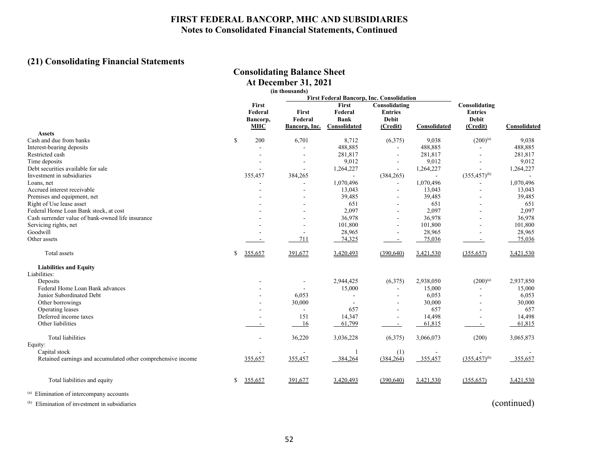# **(21) Consolidating Financial Statements**

# **Consolidating Balance Sheet**

| <b>At December 31, 2021</b> |
|-----------------------------|
| (in thousands)              |

|                                                              |              |                                            | <b>First Federal Bancorp, Inc. Consolidation</b> |                                                 |                                                             |                |                                                             |              |
|--------------------------------------------------------------|--------------|--------------------------------------------|--------------------------------------------------|-------------------------------------------------|-------------------------------------------------------------|----------------|-------------------------------------------------------------|--------------|
| <b>Assets</b>                                                |              | First<br>Federal<br>Bancorp,<br><b>MHC</b> | First<br>Federal<br>Bancorp, Inc.                | First<br>Federal<br><b>Bank</b><br>Consolidated | Consolidating<br><b>Entries</b><br><b>Debit</b><br>(Credit) | Consolidated   | Consolidating<br><b>Entries</b><br><b>Debit</b><br>(Credit) | Consolidated |
| Cash and due from banks                                      | $\mathbb{S}$ | 200                                        | 6,701                                            | 8,712                                           | (6,375)                                                     | 9,038          | $(200)^{(a)}$                                               | 9,038        |
| Interest-bearing deposits                                    |              |                                            |                                                  | 488,885                                         | ٠                                                           | 488,885        |                                                             | 488,885      |
| Restricted cash                                              |              |                                            |                                                  | 281,817                                         |                                                             | 281,817        |                                                             | 281,817      |
| Time deposits                                                |              |                                            |                                                  | 9,012                                           |                                                             | 9,012          |                                                             | 9,012        |
| Debt securities available for sale                           |              | ٠                                          |                                                  | 1,264,227                                       | $\sim$                                                      | 1,264,227      | ÷                                                           | 1,264,227    |
| Investment in subsidiaries                                   |              | 355,457                                    | 384,265                                          | $\blacksquare$                                  | (384, 265)                                                  | $\blacksquare$ | $(355, 457)^{(b)}$                                          |              |
|                                                              |              |                                            |                                                  |                                                 |                                                             | 1,070,496      |                                                             |              |
| Loans, net<br>Accrued interest receivable                    |              |                                            |                                                  | 1,070,496                                       | ٠                                                           |                |                                                             | 1,070,496    |
|                                                              |              |                                            |                                                  | 13,043                                          | $\overline{\phantom{a}}$                                    | 13,043         | $\overline{\phantom{a}}$                                    | 13,043       |
| Premises and equipment, net                                  |              |                                            |                                                  | 39,485                                          | $\overline{\phantom{a}}$                                    | 39,485         | $\overline{\phantom{a}}$                                    | 39,485       |
| Right of Use lease asset                                     |              |                                            |                                                  | 651                                             |                                                             | 651            |                                                             | 651          |
| Federal Home Loan Bank stock, at cost                        |              |                                            |                                                  | 2,097                                           |                                                             | 2,097          |                                                             | 2,097        |
| Cash surrender value of bank-owned life insurance            |              |                                            |                                                  | 36,978                                          |                                                             | 36,978         |                                                             | 36,978       |
| Servicing rights, net                                        |              |                                            |                                                  | 101,800                                         | ٠                                                           | 101,800        | ÷                                                           | 101,800      |
| Goodwill                                                     |              |                                            | $\sim$                                           | 28,965                                          | ٠                                                           | 28,965         |                                                             | 28,965       |
| Other assets                                                 |              |                                            | 711                                              | 74,325                                          | $\sim$                                                      | 75,036         |                                                             | 75,036       |
| Total assets                                                 | S            | 355,657                                    | 391,677                                          | 3,420,493                                       | (390, 640)                                                  | 3,421,530      | (355, 657)                                                  | 3,421,530    |
| <b>Liabilities and Equity</b>                                |              |                                            |                                                  |                                                 |                                                             |                |                                                             |              |
| Liabilities:                                                 |              |                                            |                                                  |                                                 |                                                             |                |                                                             |              |
| Deposits                                                     |              |                                            |                                                  | 2,944,425                                       | (6,375)                                                     | 2,938,050      | $(200)^{(a)}$                                               | 2,937,850    |
| Federal Home Loan Bank advances                              |              |                                            |                                                  | 15,000                                          | ÷                                                           | 15,000         |                                                             | 15,000       |
| Junior Subordinated Debt                                     |              |                                            | 6,053                                            | $\sim$                                          | ٠                                                           | 6,053          |                                                             | 6,053        |
| Other borrowings                                             |              |                                            | 30,000                                           |                                                 |                                                             | 30,000         |                                                             | 30,000       |
| Operating leases                                             |              |                                            |                                                  | 657                                             | ۰                                                           | 657            |                                                             | 657          |
| Deferred income taxes                                        |              |                                            | 151                                              | 14,347                                          | $\blacksquare$                                              | 14,498         |                                                             | 14,498       |
| Other liabilities                                            |              | $\overline{\phantom{a}}$                   | 16                                               | 61,799                                          | $\sim$                                                      | 61,815         | $\sim$                                                      | 61,815       |
| <b>Total liabilities</b>                                     |              |                                            | 36,220                                           | 3,036,228                                       | (6,375)                                                     | 3,066,073      | (200)                                                       | 3,065,873    |
| Equity:                                                      |              |                                            |                                                  |                                                 |                                                             |                |                                                             |              |
| Capital stock                                                |              |                                            |                                                  |                                                 | (1)                                                         | $\blacksquare$ |                                                             |              |
| Retained earnings and accumulated other comprehensive income |              | 355,657                                    | 355,457                                          | 384,264                                         | (384, 264)                                                  | 355,457        | $(355, 457)^{(b)}$                                          | 355,657      |
| Total liabilities and equity                                 |              | 355,657                                    | 391,677                                          | 3,420,493                                       | (390, 640)                                                  | 3,421,530      | (355, 657)                                                  | 3,421,530    |
| $\left( \Delta \right)$ and $\Delta \left( \Delta \right)$   |              |                                            |                                                  |                                                 |                                                             |                |                                                             |              |

(a) Elimination of intercompany accounts

(b) Elimination of investment in subsidiaries (continued)